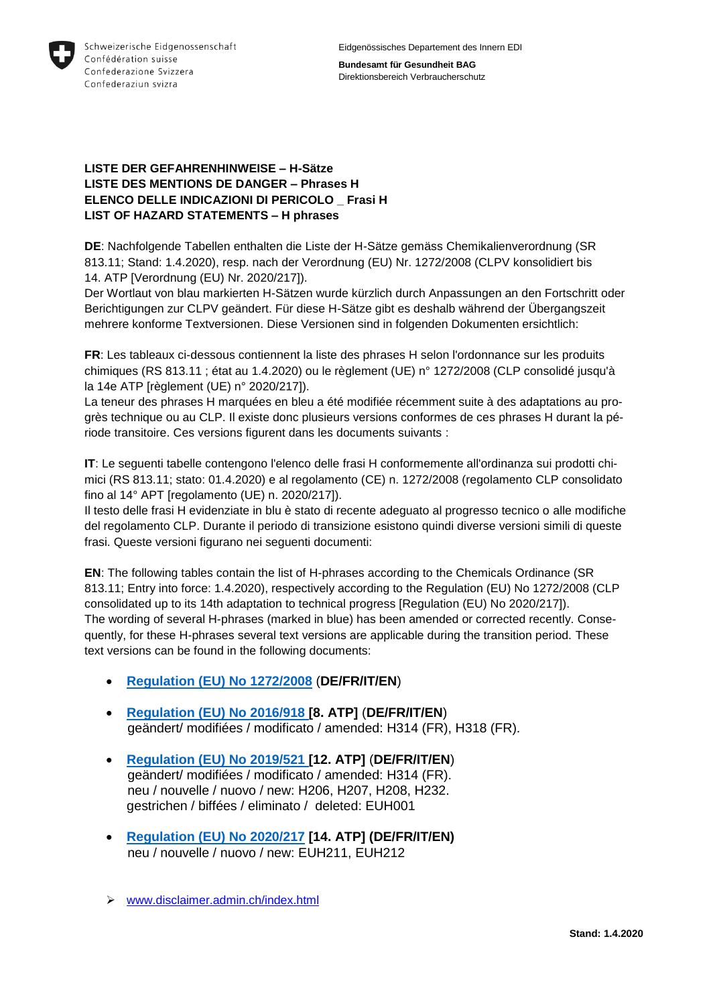

**Bundesamt für Gesundheit BAG** Direktionsbereich Verbraucherschutz

### **LISTE DER GEFAHRENHINWEISE – H-Sätze LISTE DES MENTIONS DE DANGER – Phrases H ELENCO DELLE INDICAZIONI DI PERICOLO \_ Frasi H LIST OF HAZARD STATEMENTS – H phrases**

**DE**: Nachfolgende Tabellen enthalten die Liste der H-Sätze gemäss Chemikalienverordnung [\(SR](https://www.admin.ch/opc/de/classified-compilation/20141117/index.html)  [813.11;](https://www.admin.ch/opc/de/classified-compilation/20141117/index.html) Stand: 1.4.2020), resp. nach der Verordnung (EU) Nr. 1272/2008 (CLPV konsolidiert bis 14. ATP [Verordnung (EU) Nr. 2020/217]).

Der Wortlaut von blau markierten H-Sätzen wurde kürzlich durch Anpassungen an den Fortschritt oder Berichtigungen zur CLPV geändert. Für diese H-Sätze gibt es deshalb während der Übergangszeit mehrere konforme Textversionen. Diese Versionen sind in folgenden Dokumenten ersichtlich:

**FR**: Les tableaux ci-dessous contiennent la liste des phrases H selon l'ordonnance sur les produits chimiques [\(RS 813.11](https://www.admin.ch/opc/fr/classified-compilation/20141117/index.html) ; état au 1.4.2020) ou le règlement (UE) n° 1272/2008 (CLP consolidé jusqu'à la 14e ATP [règlement (UE) n° 2020/217]).

La teneur des phrases H marquées en bleu a été modifiée récemment suite à des adaptations au progrès technique ou au CLP. Il existe donc plusieurs versions conformes de ces phrases H durant la période transitoire. Ces versions figurent dans les documents suivants :

**IT**: Le seguenti tabelle contengono l'elenco delle frasi H conformemente all'ordinanza sui prodotti chimici [\(RS 813.11;](https://www.admin.ch/opc/it/classified-compilation/20141117/index.html) stato: 01.4.2020) e al regolamento (CE) n. 1272/2008 (regolamento CLP consolidato fino al 14° APT [regolamento (UE) n. 2020/217]).

Il testo delle frasi H evidenziate in blu è stato di recente adeguato al progresso tecnico o alle modifiche del regolamento CLP. Durante il periodo di transizione esistono quindi diverse versioni simili di queste frasi. Queste versioni figurano nei seguenti documenti:

**EN**: The following tables contain the list of H-phrases according to the Chemicals Ordinance (SR 813.11; Entry into force: 1.4.2020), respectively according to the Regulation (EU) No 1272/2008 (CLP consolidated up to its 14th adaptation to technical progress [Regulation (EU) No 2020/217]). The wording of several H-phrases (marked in blue) has been amended or corrected recently. Consequently, for these H-phrases several text versions are applicable during the transition period. These text versions can be found in the following documents:

- **[Regulation \(EU\) No 1272/2008](http://eur-lex.europa.eu/legal-content/DE/TXT/?uri=OJ:L:2008:353:TOC)** (**DE/FR/IT/EN**)
- **[Regulation \(EU\) No 2016/918](http://eur-lex.europa.eu/legal-content/DE/TXT/?qid=1490878535747&uri=CELEX:32016R0918) [8. ATP]** (**DE/FR/IT/EN**) geändert/ modifiées / modificato / amended: H314 (FR), H318 (FR).
- **[Regulation \(EU\) No 2019/521](https://eur-lex.europa.eu/legal-content/DE/TXT/?qid=1575639776987&uri=CELEX:32019R0521) [12. ATP]** (**DE/FR/IT/EN**) geändert/ modifiées / modificato / amended: H314 (FR). neu / nouvelle / nuovo / new: H206, H207, H208, H232. gestrichen / biffées / eliminato / deleted: EUH001
- **[Regulation \(EU\) No 2020/217](https://eur-lex.europa.eu/legal-content/DE/TXT/?qid=1594736851195&uri=CELEX:32020R0217) [14. ATP] (DE/FR/IT/EN)** neu / nouvelle / nuovo / new: EUH211, EUH212
- [www.disclaimer.admin.ch/index.html](http://www.disclaimer.admin.ch/index.html)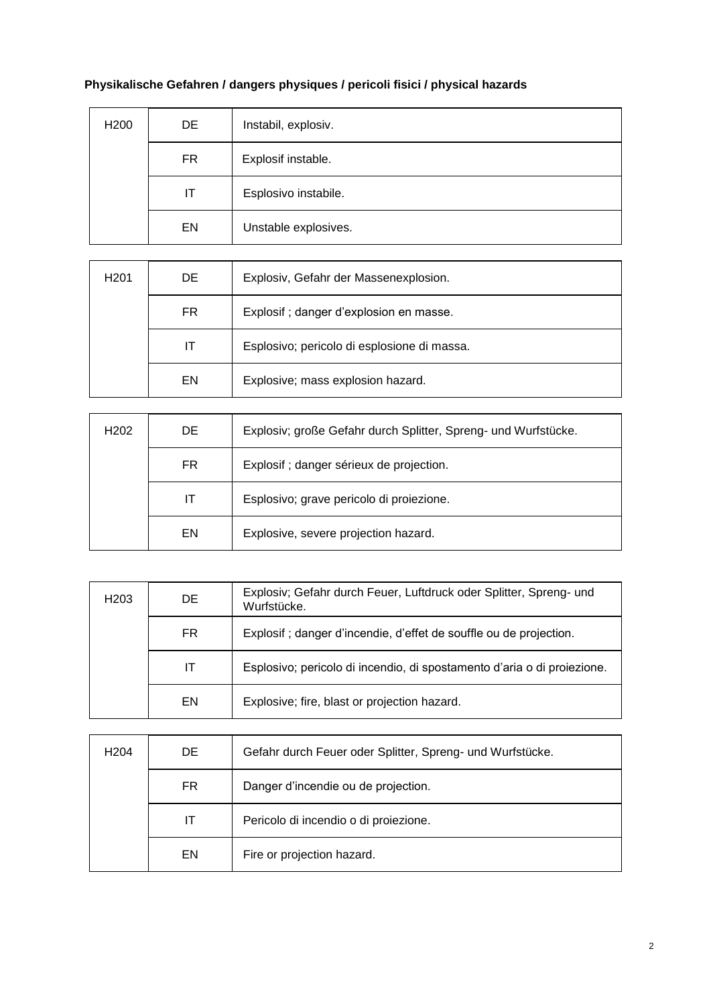# **Physikalische Gefahren / dangers physiques / pericoli fisici / physical hazards**

| H <sub>200</sub> | DE        | Instabil, explosiv.  |
|------------------|-----------|----------------------|
|                  | <b>FR</b> | Explosif instable.   |
|                  | IT        | Esplosivo instabile. |
|                  | EN        | Unstable explosives. |

| H <sub>201</sub> | DE. | Explosiv, Gefahr der Massenexplosion.       |
|------------------|-----|---------------------------------------------|
|                  | FR  | Explosif; danger d'explosion en masse.      |
|                  | ΙT  | Esplosivo; pericolo di esplosione di massa. |
|                  | EN  | Explosive; mass explosion hazard.           |

| H <sub>202</sub> | DE. | Explosiv; große Gefahr durch Splitter, Spreng- und Wurfstücke. |
|------------------|-----|----------------------------------------------------------------|
|                  | FR. | Explosif ; danger sérieux de projection.                       |
|                  | IТ  | Esplosivo; grave pericolo di proiezione.                       |
|                  | EN  | Explosive, severe projection hazard.                           |

| H <sub>203</sub> | DE. | Explosiv; Gefahr durch Feuer, Luftdruck oder Splitter, Spreng- und<br>Wurfstücke. |
|------------------|-----|-----------------------------------------------------------------------------------|
|                  | FR. | Explosif ; danger d'incendie, d'effet de souffle ou de projection.                |
|                  | IT  | Esplosivo; pericolo di incendio, di spostamento d'aria o di proiezione.           |
|                  | EN  | Explosive; fire, blast or projection hazard.                                      |

| H <sub>204</sub> | DE  | Gefahr durch Feuer oder Splitter, Spreng- und Wurfstücke. |
|------------------|-----|-----------------------------------------------------------|
|                  | FR. | Danger d'incendie ou de projection.                       |
|                  | IТ  | Pericolo di incendio o di proiezione.                     |
|                  | EN  | Fire or projection hazard.                                |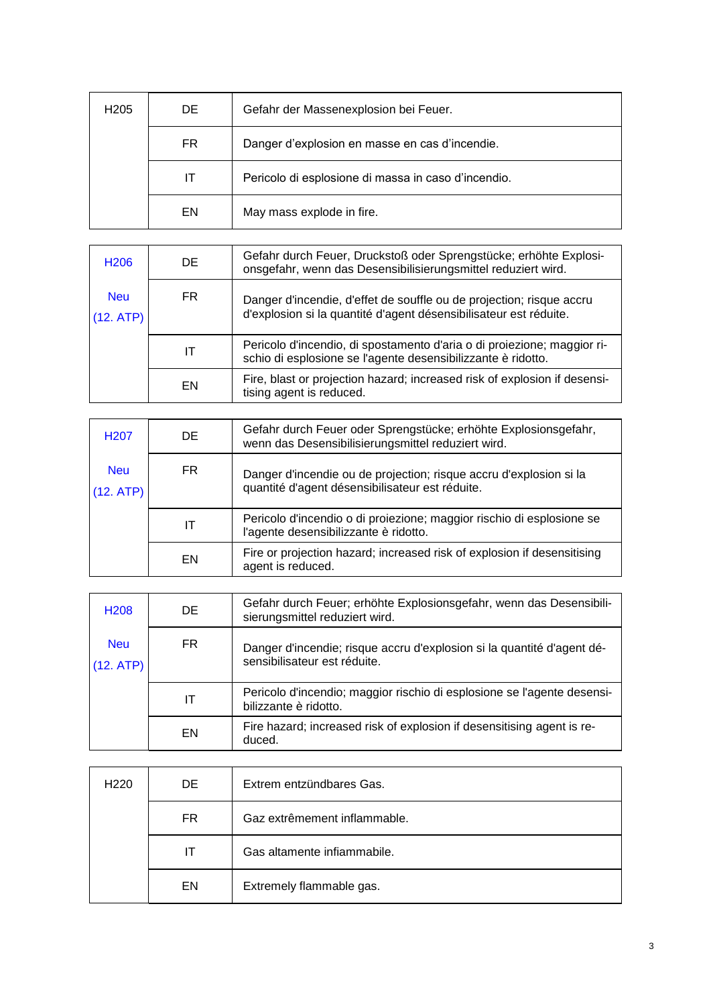| H <sub>205</sub> | DE. | Gefahr der Massenexplosion bei Feuer.               |
|------------------|-----|-----------------------------------------------------|
|                  | FR. | Danger d'explosion en masse en cas d'incendie.      |
|                  | ΙT  | Pericolo di esplosione di massa in caso d'incendio. |
|                  | EN  | May mass explode in fire.                           |

| H <sub>206</sub>        | DE  | Gefahr durch Feuer, Druckstoß oder Sprengstücke; erhöhte Explosi-<br>onsgefahr, wenn das Desensibilisierungsmittel reduziert wird.        |
|-------------------------|-----|-------------------------------------------------------------------------------------------------------------------------------------------|
| <b>Neu</b><br>(12. ATP) | FR. | Danger d'incendie, d'effet de souffle ou de projection; risque accru<br>d'explosion si la quantité d'agent désensibilisateur est réduite. |
|                         | ΙT  | Pericolo d'incendio, di spostamento d'aria o di proiezione; maggior ri-<br>schio di esplosione se l'agente desensibilizzante è ridotto.   |
|                         | EN  | Fire, blast or projection hazard; increased risk of explosion if desensi-<br>tising agent is reduced.                                     |

| H <sub>20</sub> 7       | DE  | Gefahr durch Feuer oder Sprengstücke; erhöhte Explosionsgefahr,<br>wenn das Desensibilisierungsmittel reduziert wird. |
|-------------------------|-----|-----------------------------------------------------------------------------------------------------------------------|
| <b>Neu</b><br>(12. ATP) | FR. | Danger d'incendie ou de projection; risque accru d'explosion si la<br>quantité d'agent désensibilisateur est réduite. |
|                         | IΤ  | Pericolo d'incendio o di proiezione; maggior rischio di esplosione se<br>l'agente desensibilizzante è ridotto.        |
|                         | EN  | Fire or projection hazard; increased risk of explosion if desensitising<br>agent is reduced.                          |

| H <sub>208</sub>        | DE. | Gefahr durch Feuer; erhöhte Explosionsgefahr, wenn das Desensibili-<br>sierungsmittel reduziert wird.  |
|-------------------------|-----|--------------------------------------------------------------------------------------------------------|
| <b>Neu</b><br>(12. ATP) | FR. | Danger d'incendie; risque accru d'explosion si la quantité d'agent dé-<br>sensibilisateur est réduite. |
|                         | IΤ  | Pericolo d'incendio; maggior rischio di esplosione se l'agente desensi-<br>bilizzante è ridotto.       |
|                         | EN  | Fire hazard; increased risk of explosion if desensitising agent is re-<br>duced.                       |

| H <sub>220</sub> | DE. | Extrem entzündbares Gas.     |
|------------------|-----|------------------------------|
|                  | FR. | Gaz extrêmement inflammable. |
|                  | IT  | Gas altamente infiammabile.  |
|                  | EN  | Extremely flammable gas.     |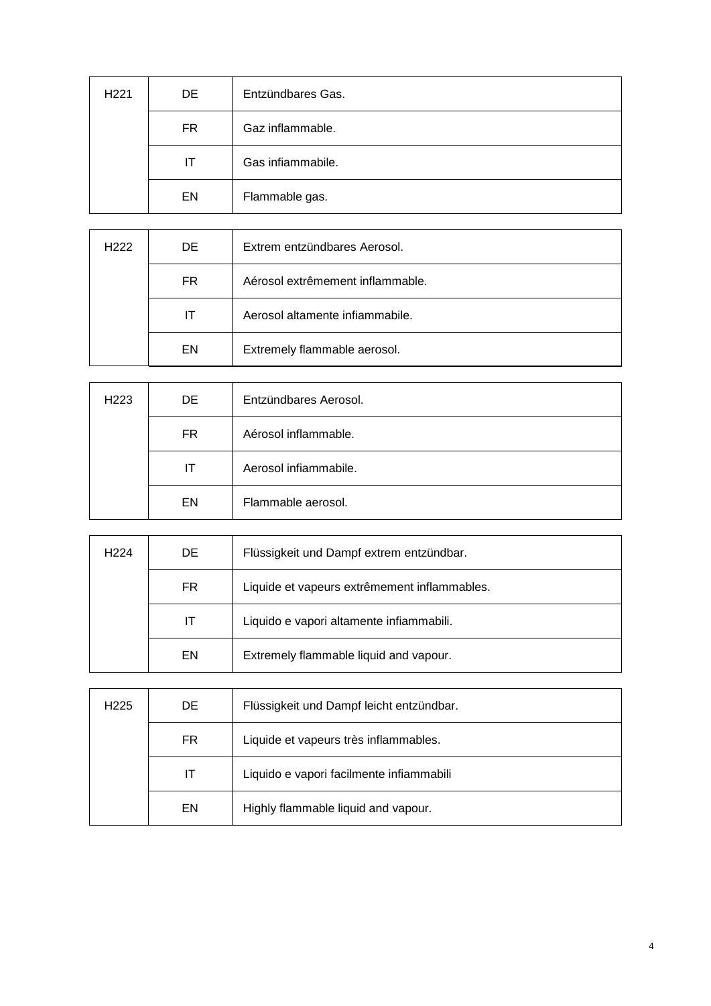| H <sub>221</sub> | DE  | Entzündbares Gas. |
|------------------|-----|-------------------|
|                  | FR. | Gaz inflammable.  |
|                  | ΙT  | Gas infiammabile. |
|                  | EN  | Flammable gas.    |

| H <sub>222</sub> | DE. | Extrem entzündbares Aerosol.     |
|------------------|-----|----------------------------------|
|                  | FR. | Aérosol extrêmement inflammable. |
|                  | IТ  | Aerosol altamente infiammabile.  |
|                  | EN  | Extremely flammable aerosol.     |

| H <sub>223</sub> | DE. | Entzündbares Aerosol. |
|------------------|-----|-----------------------|
|                  | FR. | Aérosol inflammable.  |
|                  | IТ  | Aerosol infiammabile. |
|                  | EN  | Flammable aerosol.    |

| H <sub>224</sub> | DE. | Flüssigkeit und Dampf extrem entzündbar.     |
|------------------|-----|----------------------------------------------|
|                  | FR  | Liquide et vapeurs extrêmement inflammables. |
|                  | IT  | Liquido e vapori altamente infiammabili.     |
|                  | EN  | Extremely flammable liquid and vapour.       |

| H <sub>225</sub> | DE | Flüssigkeit und Dampf leicht entzündbar. |
|------------------|----|------------------------------------------|
|                  | FR | Liquide et vapeurs très inflammables.    |
|                  | IТ | Liquido e vapori facilmente infiammabili |
|                  | EN | Highly flammable liquid and vapour.      |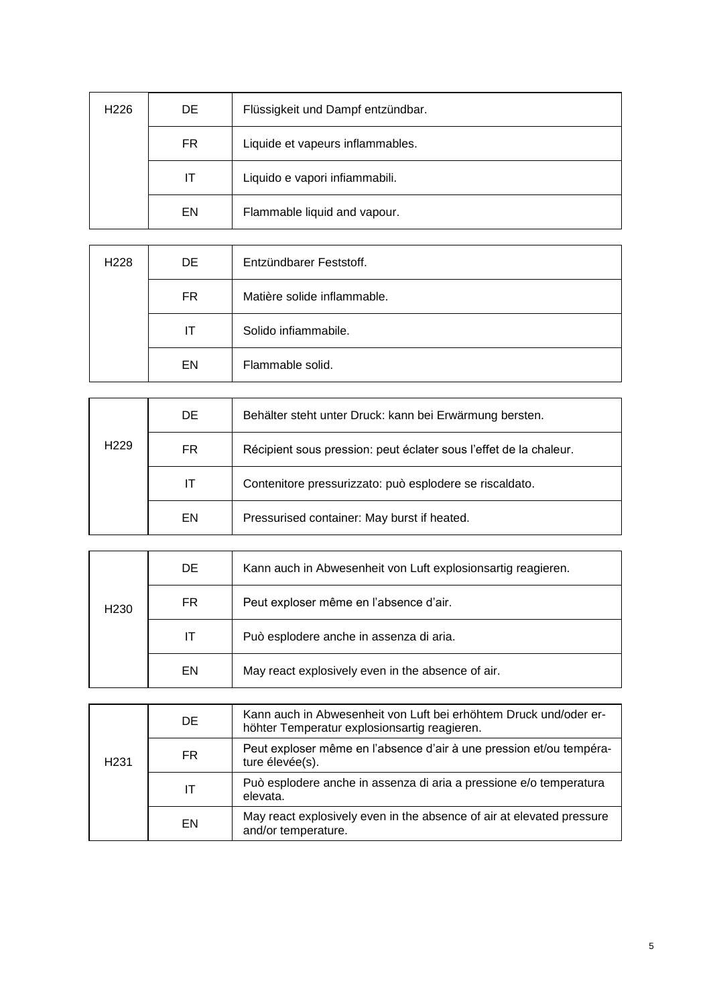| H <sub>226</sub> | DE. | Flüssigkeit und Dampf entzündbar. |
|------------------|-----|-----------------------------------|
|                  | FR  | Liquide et vapeurs inflammables.  |
|                  | IΤ  | Liquido e vapori infiammabili.    |
|                  | EN  | Flammable liquid and vapour.      |

| H <sub>228</sub> | DE  | Entzündbarer Feststoff.     |
|------------------|-----|-----------------------------|
|                  | FR. | Matière solide inflammable. |
|                  | ΙT  | Solido infiammabile.        |
|                  | EN  | Flammable solid.            |

|                  | DE. | Behälter steht unter Druck: kann bei Erwärmung bersten.           |
|------------------|-----|-------------------------------------------------------------------|
| H <sub>229</sub> | FR. | Récipient sous pression: peut éclater sous l'effet de la chaleur. |
|                  | IT  | Contenitore pressurizzato: può esplodere se riscaldato.           |
|                  | EN  | Pressurised container: May burst if heated.                       |

| H <sub>230</sub> | DE. | Kann auch in Abwesenheit von Luft explosionsartig reagieren. |
|------------------|-----|--------------------------------------------------------------|
|                  | FR. | Peut exploser même en l'absence d'air.                       |
|                  | П   | Può esplodere anche in assenza di aria.                      |
|                  | EN  | May react explosively even in the absence of air.            |

| H <sub>231</sub> | DE  | Kann auch in Abwesenheit von Luft bei erhöhtem Druck und/oder er-<br>höhter Temperatur explosionsartig reagieren. |
|------------------|-----|-------------------------------------------------------------------------------------------------------------------|
|                  | FR. | Peut exploser même en l'absence d'air à une pression et/ou tempéra-<br>ture élevée(s).                            |
|                  | ΙT  | Può esplodere anche in assenza di aria a pressione e/o temperatura<br>elevata.                                    |
|                  | EN  | May react explosively even in the absence of air at elevated pressure<br>and/or temperature.                      |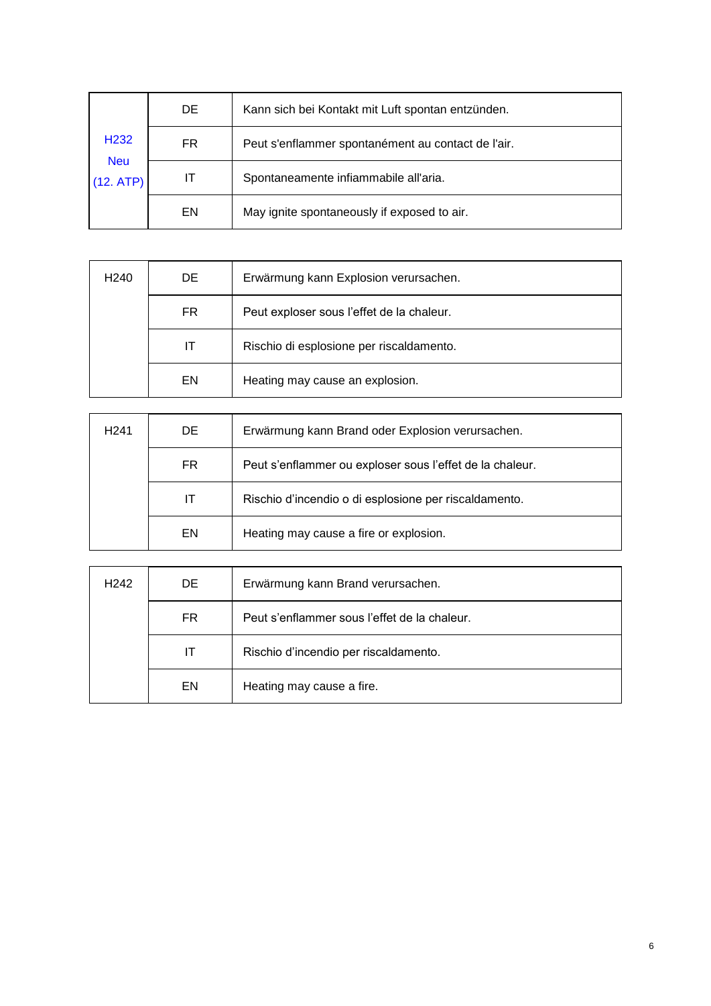| H <sub>232</sub><br><b>Neu</b><br>(12. ATP) | DE | Kann sich bei Kontakt mit Luft spontan entzünden.  |
|---------------------------------------------|----|----------------------------------------------------|
|                                             | FR | Peut s'enflammer spontanément au contact de l'air. |
|                                             | IТ | Spontaneamente infiammabile all'aria.              |
|                                             | EN | May ignite spontaneously if exposed to air.        |

| H <sub>240</sub> | DE. | Erwärmung kann Explosion verursachen.     |
|------------------|-----|-------------------------------------------|
|                  | FR. | Peut exploser sous l'effet de la chaleur. |
|                  | IТ  | Rischio di esplosione per riscaldamento.  |
|                  | EN  | Heating may cause an explosion.           |

| H <sub>241</sub> | DE. | Erwärmung kann Brand oder Explosion verursachen.         |
|------------------|-----|----------------------------------------------------------|
|                  | FR. | Peut s'enflammer ou exploser sous l'effet de la chaleur. |
|                  | IТ  | Rischio d'incendio o di esplosione per riscaldamento.    |
|                  | EN  | Heating may cause a fire or explosion.                   |

| H <sub>242</sub> | DE. | Erwärmung kann Brand verursachen.            |
|------------------|-----|----------------------------------------------|
|                  | FR. | Peut s'enflammer sous l'effet de la chaleur. |
|                  | IT  | Rischio d'incendio per riscaldamento.        |
|                  | EN  | Heating may cause a fire.                    |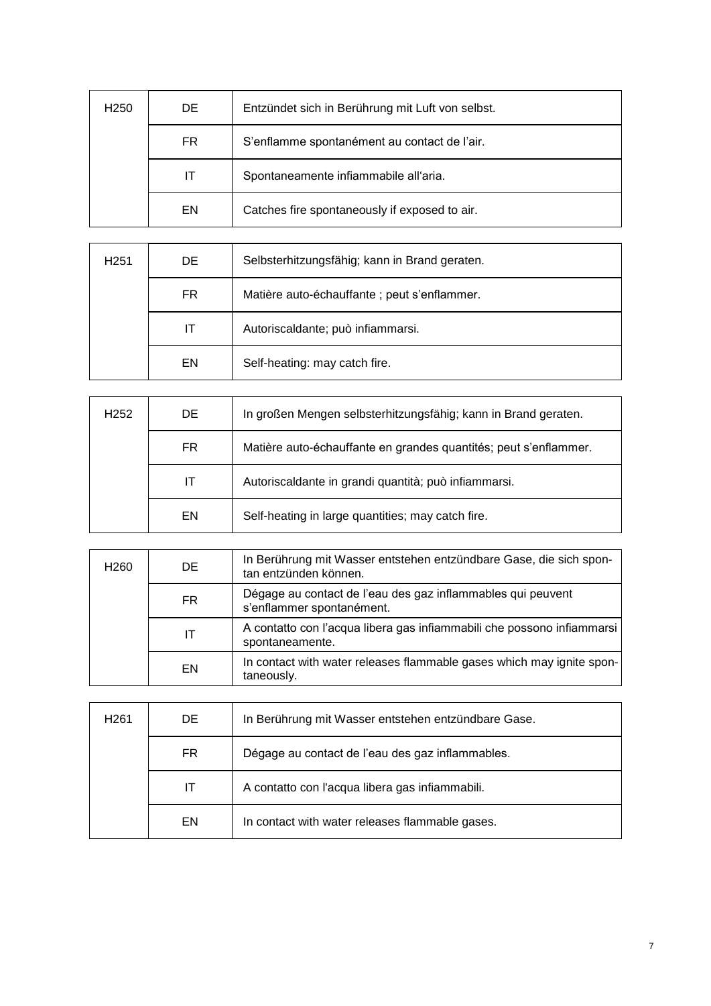| H <sub>250</sub> | DE. | Entzündet sich in Berührung mit Luft von selbst. |
|------------------|-----|--------------------------------------------------|
|                  | FR. | S'enflamme spontanément au contact de l'air.     |
|                  | IТ  | Spontaneamente infiammabile all'aria.            |
|                  | EN  | Catches fire spontaneously if exposed to air.    |

| H <sub>251</sub> | DE | Selbsterhitzungsfähig; kann in Brand geraten. |
|------------------|----|-----------------------------------------------|
|                  | FR | Matière auto-échauffante ; peut s'enflammer.  |
|                  | IТ | Autoriscaldante; può infiammarsi.             |
|                  | EN | Self-heating: may catch fire.                 |

| H <sub>252</sub> | DE. | In großen Mengen selbsterhitzungsfähig; kann in Brand geraten.   |
|------------------|-----|------------------------------------------------------------------|
|                  | FR. | Matière auto-échauffante en grandes quantités; peut s'enflammer. |
|                  | IT  | Autoriscaldante in grandi quantità; può infiammarsi.             |
|                  | EN. | Self-heating in large quantities; may catch fire.                |

| H <sub>260</sub> | DE. | In Berührung mit Wasser entstehen entzündbare Gase, die sich spon-<br>tan entzünden können. |
|------------------|-----|---------------------------------------------------------------------------------------------|
|                  | FR. | Dégage au contact de l'eau des gaz inflammables qui peuvent<br>s'enflammer spontanément.    |
|                  | IΤ  | A contatto con l'acqua libera gas infiammabili che possono infiammarsi<br>spontaneamente.   |
|                  | EN  | In contact with water releases flammable gases which may ignite spon-<br>taneously.         |

| H <sub>261</sub> | DE. | In Berührung mit Wasser entstehen entzündbare Gase. |
|------------------|-----|-----------------------------------------------------|
|                  | FR. | Dégage au contact de l'eau des gaz inflammables.    |
|                  | IТ  | A contatto con l'acqua libera gas infiammabili.     |
|                  | EN  | In contact with water releases flammable gases.     |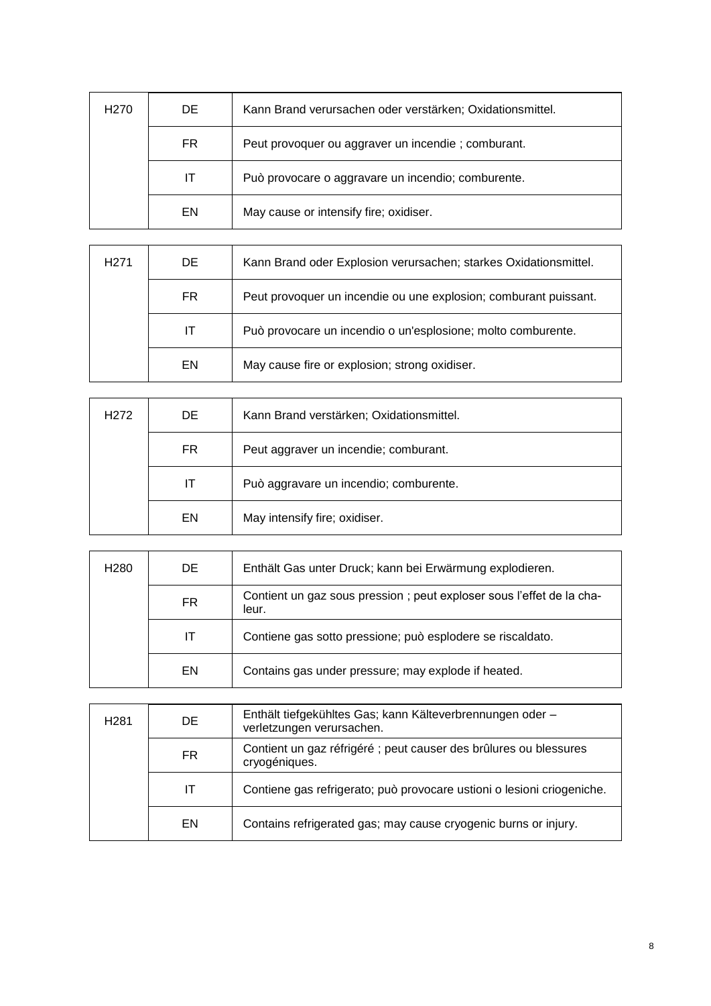| H <sub>270</sub> | DE | Kann Brand verursachen oder verstärken; Oxidationsmittel. |
|------------------|----|-----------------------------------------------------------|
|                  | FR | Peut provoquer ou aggraver un incendie; comburant.        |
|                  | IТ | Può provocare o aggravare un incendio; comburente.        |
|                  | EN | May cause or intensify fire; oxidiser.                    |

| H <sub>271</sub> | DE. | Kann Brand oder Explosion verursachen; starkes Oxidationsmittel. |
|------------------|-----|------------------------------------------------------------------|
|                  | FR. | Peut provoquer un incendie ou une explosion; comburant puissant. |
|                  | IT  | Può provocare un incendio o un'esplosione; molto comburente.     |
|                  | EN  | May cause fire or explosion; strong oxidiser.                    |

| H <sub>2</sub> 72 | DE. | Kann Brand verstärken; Oxidationsmittel. |
|-------------------|-----|------------------------------------------|
|                   | FR. | Peut aggraver un incendie; comburant.    |
|                   | IT  | Può aggravare un incendio; comburente.   |
|                   | EN  | May intensify fire; oxidiser.            |

| H <sub>280</sub> | DE. | Enthält Gas unter Druck; kann bei Erwärmung explodieren.                       |
|------------------|-----|--------------------------------------------------------------------------------|
|                  | FR  | Contient un gaz sous pression ; peut exploser sous l'effet de la cha-<br>leur. |
|                  | IT. | Contiene gas sotto pressione; può esplodere se riscaldato.                     |
|                  | EN. | Contains gas under pressure; may explode if heated.                            |

| H <sub>281</sub> | DE | Enthält tiefgekühltes Gas; kann Kälteverbrennungen oder -<br>verletzungen verursachen. |
|------------------|----|----------------------------------------------------------------------------------------|
|                  | FR | Contient un gaz réfrigéré ; peut causer des brûlures ou blessures<br>cryogéniques.     |
|                  | IT | Contiene gas refrigerato; può provocare ustioni o lesioni criogeniche.                 |
|                  | EN | Contains refrigerated gas; may cause cryogenic burns or injury.                        |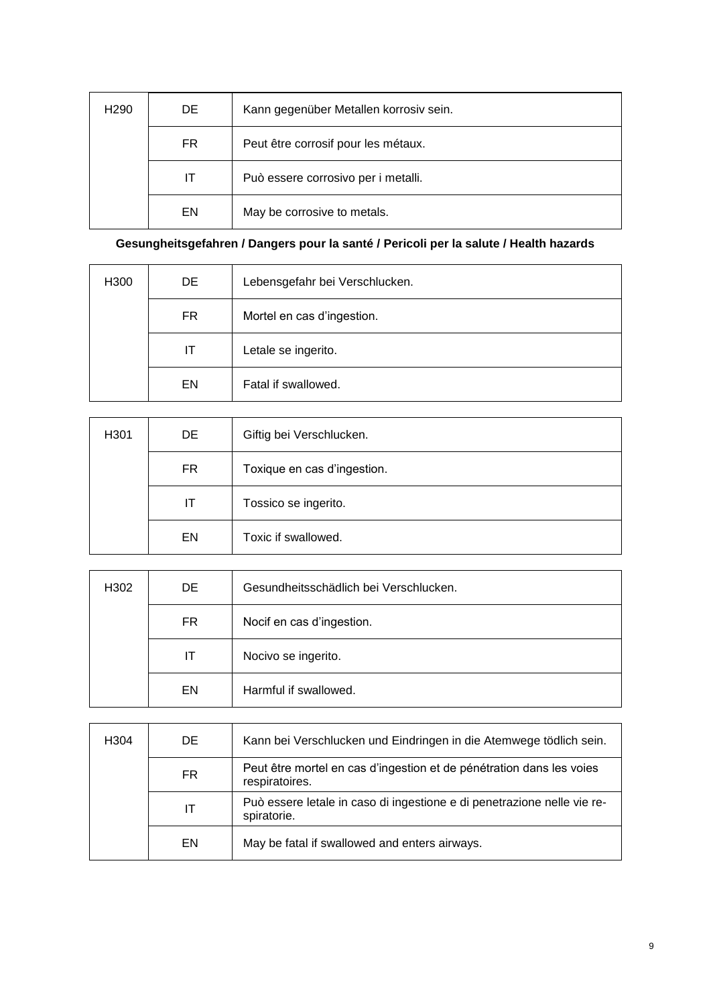| H <sub>290</sub> | DE. | Kann gegenüber Metallen korrosiv sein. |
|------------------|-----|----------------------------------------|
|                  | FR. | Peut être corrosif pour les métaux.    |
|                  | IΤ  | Può essere corrosivo per i metalli.    |
|                  | EN  | May be corrosive to metals.            |

### **Gesungheitsgefahren / Dangers pour la santé / Pericoli per la salute / Health hazards**

| H300 | DE. | Lebensgefahr bei Verschlucken. |
|------|-----|--------------------------------|
|      | FR  | Mortel en cas d'ingestion.     |
|      | IT  | Letale se ingerito.            |
|      | EN  | Fatal if swallowed.            |

| H301 | DE  | Giftig bei Verschlucken.    |
|------|-----|-----------------------------|
|      | FR. | Toxique en cas d'ingestion. |
|      | ΙT  | Tossico se ingerito.        |
|      | EN  | Toxic if swallowed.         |

| H302 | DE. | Gesundheitsschädlich bei Verschlucken. |
|------|-----|----------------------------------------|
|      | FR. | Nocif en cas d'ingestion.              |
|      | IТ  | Nocivo se ingerito.                    |
|      | EN  | Harmful if swallowed.                  |

| H <sub>304</sub> | DE. | Kann bei Verschlucken und Eindringen in die Atemwege tödlich sein.                     |
|------------------|-----|----------------------------------------------------------------------------------------|
|                  | FR  | Peut être mortel en cas d'ingestion et de pénétration dans les voies<br>respiratoires. |
|                  | IΤ  | Può essere letale in caso di ingestione e di penetrazione nelle vie re-<br>spiratorie. |
|                  | EN  | May be fatal if swallowed and enters airways.                                          |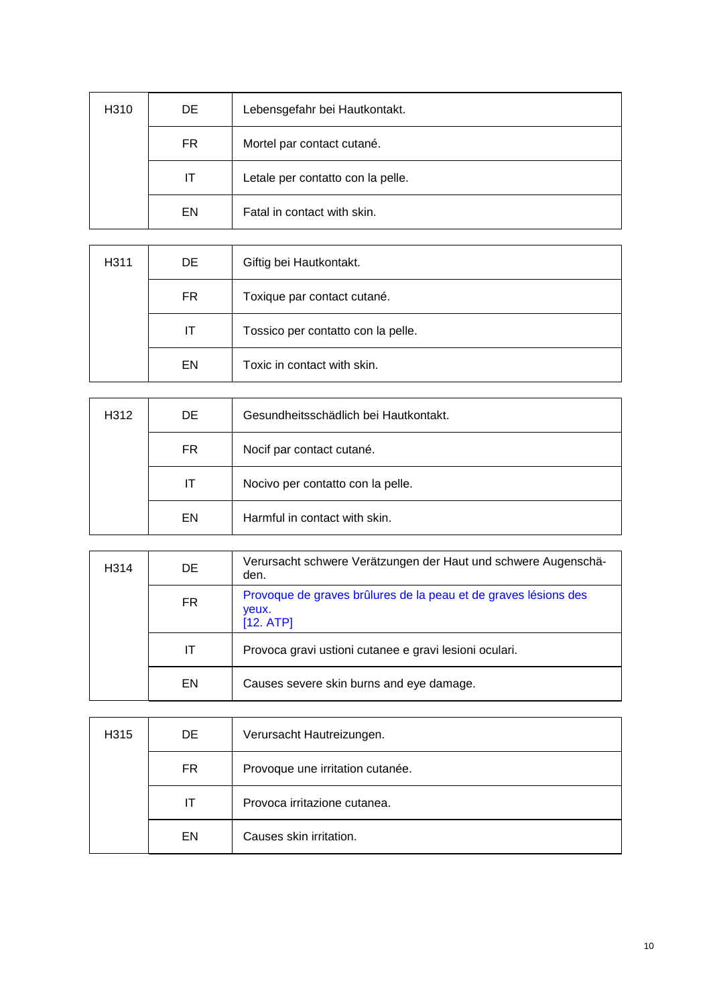| H310 | DE. | Lebensgefahr bei Hautkontakt.     |
|------|-----|-----------------------------------|
|      | FR  | Mortel par contact cutané.        |
|      | ΙT  | Letale per contatto con la pelle. |
|      | EN  | Fatal in contact with skin.       |

| H <sub>3</sub> 11 | DE  | Giftig bei Hautkontakt.            |
|-------------------|-----|------------------------------------|
|                   | FR. | Toxique par contact cutané.        |
|                   | ΙT  | Tossico per contatto con la pelle. |
|                   | EN  | Toxic in contact with skin.        |

| H312 | DE. | Gesundheitsschädlich bei Hautkontakt. |
|------|-----|---------------------------------------|
|      | FR. | Nocif par contact cutané.             |
|      | IT  | Nocivo per contatto con la pelle.     |
|      | EN  | Harmful in contact with skin.         |

| H <sub>3</sub> 14 | DE | Verursacht schwere Verätzungen der Haut und schwere Augenschä-<br>den.                |
|-------------------|----|---------------------------------------------------------------------------------------|
|                   | FR | Provoque de graves brûlures de la peau et de graves lésions des<br>veux.<br>[12. ATP] |
|                   | ΙT | Provoca gravi ustioni cutanee e gravi lesioni oculari.                                |
|                   | EN | Causes severe skin burns and eye damage.                                              |

| H315 | DE. | Verursacht Hautreizungen.        |
|------|-----|----------------------------------|
|      | FR. | Provoque une irritation cutanée. |
|      | IΤ  | Provoca irritazione cutanea.     |
|      | EN  | Causes skin irritation.          |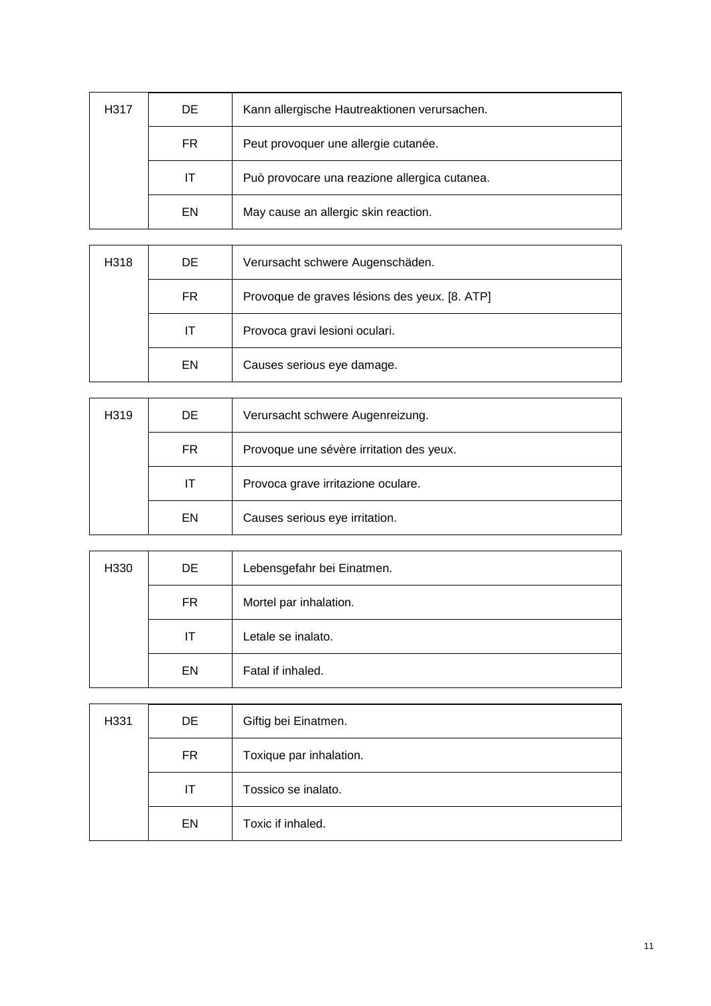| H317 | DE. | Kann allergische Hautreaktionen verursachen.  |
|------|-----|-----------------------------------------------|
|      | FR  | Peut provoquer une allergie cutanée.          |
|      | IΤ  | Può provocare una reazione allergica cutanea. |
|      | EN  | May cause an allergic skin reaction.          |

| H318 | DE. | Verursacht schwere Augenschäden.              |
|------|-----|-----------------------------------------------|
|      | FR. | Provoque de graves lésions des yeux. [8. ATP] |
|      | IT  | Provoca gravi lesioni oculari.                |
|      | EN  | Causes serious eye damage.                    |

| H319 | DE. | Verursacht schwere Augenreizung.         |
|------|-----|------------------------------------------|
|      | FR. | Provoque une sévère irritation des yeux. |
|      | IТ  | Provoca grave irritazione oculare.       |
|      | EN  | Causes serious eye irritation.           |

| H330 | DE  | Lebensgefahr bei Einatmen. |
|------|-----|----------------------------|
|      | FR. | Mortel par inhalation.     |
|      | IT  | Letale se inalato.         |
|      | EN  | Fatal if inhaled.          |

| H331 | DE        | Giftig bei Einatmen.    |
|------|-----------|-------------------------|
|      | <b>FR</b> | Toxique par inhalation. |
|      | IT        | Tossico se inalato.     |
|      | EN        | Toxic if inhaled.       |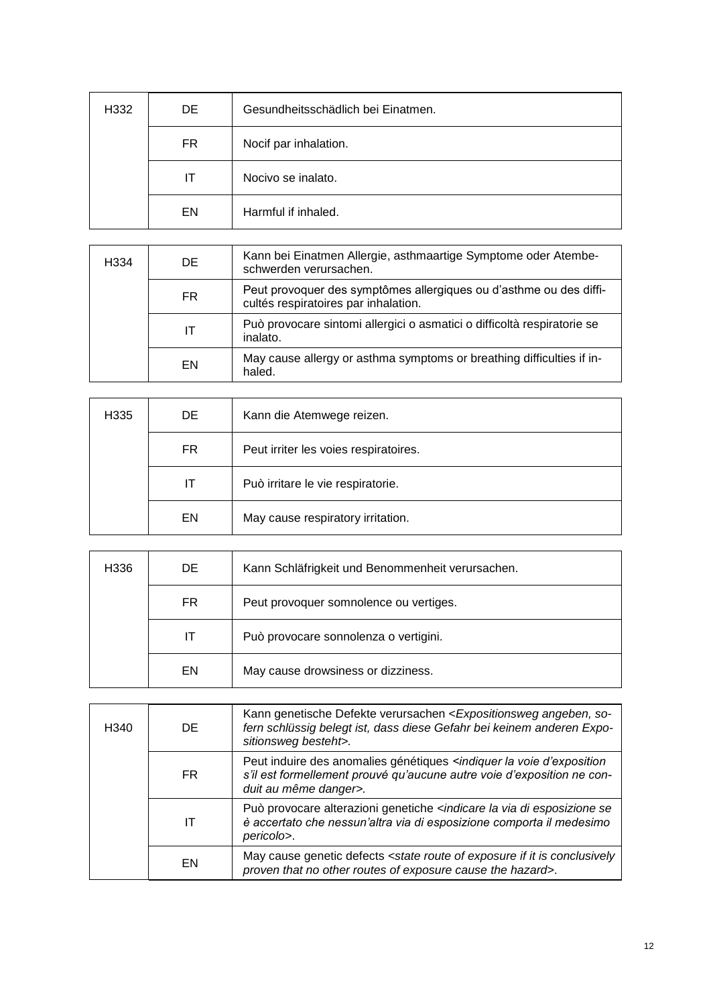| H332 | DE  | Gesundheitsschädlich bei Einatmen. |
|------|-----|------------------------------------|
|      | FR. | Nocif par inhalation.              |
|      | IΤ  | Nocivo se inalato.                 |
|      | EN  | Harmful if inhaled.                |

| H <sub>334</sub> | DE. | Kann bei Einatmen Allergie, asthmaartige Symptome oder Atembe-<br>schwerden verursachen.                   |
|------------------|-----|------------------------------------------------------------------------------------------------------------|
|                  | FR. | Peut provoquer des symptômes allergiques ou d'asthme ou des diffi-<br>cultés respiratoires par inhalation. |
|                  | ΙT  | Può provocare sintomi allergici o asmatici o difficoltà respiratorie se<br>inalato.                        |
|                  | EN  | May cause allergy or asthma symptoms or breathing difficulties if in-<br>haled.                            |

| H335 | DE. | Kann die Atemwege reizen.             |
|------|-----|---------------------------------------|
|      | FR. | Peut irriter les voies respiratoires. |
|      | IT  | Può irritare le vie respiratorie.     |
|      | EN  | May cause respiratory irritation.     |

| H336 | DE. | Kann Schläfrigkeit und Benommenheit verursachen. |
|------|-----|--------------------------------------------------|
|      | FR. | Peut provoquer somnolence ou vertiges.           |
|      | IΤ  | Può provocare sonnolenza o vertigini.            |
|      | EN  | May cause drowsiness or dizziness.               |

| H340 | DE. | Kann genetische Defekte verursachen <expositionsweg angeben,="" so-<br="">fern schlüssig belegt ist, dass diese Gefahr bei keinem anderen Expo-<br/>sitionsweg besteht&gt;.</expositionsweg>              |
|------|-----|-----------------------------------------------------------------------------------------------------------------------------------------------------------------------------------------------------------|
|      | FR. | Peut induire des anomalies génétiques <indiquer d'exposition<br="" la="" voie="">s'il est formellement prouvé qu'aucune autre voie d'exposition ne con-<br/>duit au même danger&gt;.</indiquer>           |
|      | IΤ  | Può provocare alterazioni genetiche <i><indicare di="" esposizione="" i="" la="" se<="" via=""><br/>è accertato che nessun'altra via di esposizione comporta il medesimo<br/>pericolo&gt;.</indicare></i> |
|      | EN  | May cause genetic defects <state conclusively<br="" exposure="" if="" is="" it="" of="" route="">proven that no other routes of exposure cause the hazard&gt;.</state>                                    |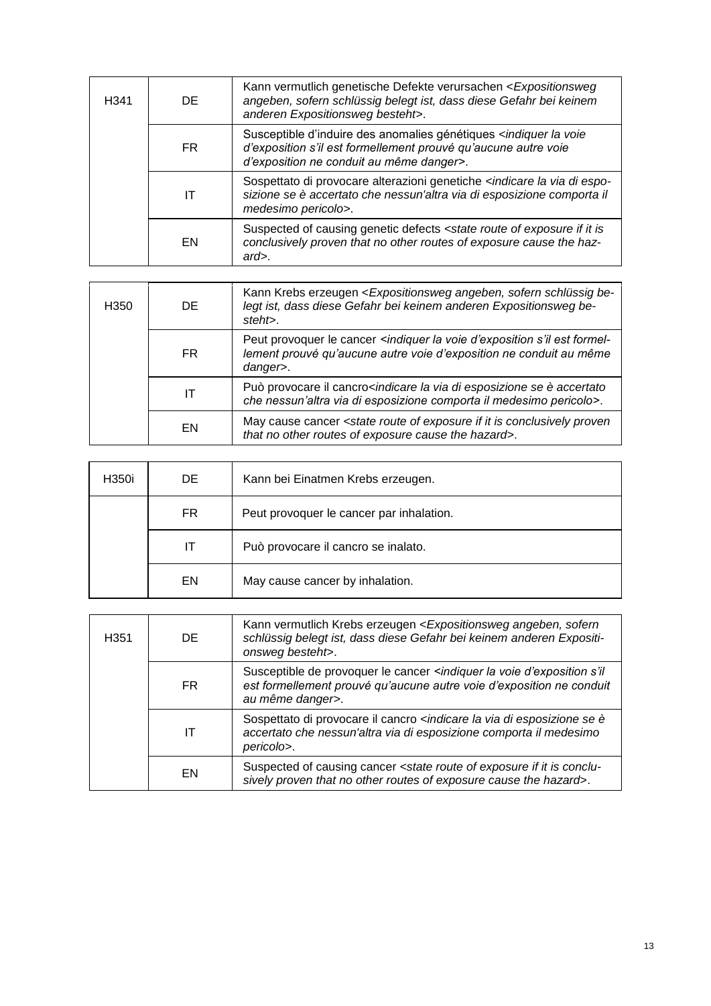| H341 | DE. | Kann vermutlich genetische Defekte verursachen < Expositionsweg<br>angeben, sofern schlüssig belegt ist, dass diese Gefahr bei keinem<br>anderen Expositionsweg besteht>.                           |
|------|-----|-----------------------------------------------------------------------------------------------------------------------------------------------------------------------------------------------------|
|      | FR. | Susceptible d'induire des anomalies génétiques <indiquer la="" voie<br="">d'exposition s'il est formellement prouvé qu'aucune autre voie<br/>d'exposition ne conduit au même danger&gt;.</indiquer> |
|      | IΤ  | Sospettato di provocare alterazioni genetiche <indicare di="" espo-<br="" la="" via="">sizione se è accertato che nessun'altra via di esposizione comporta il<br/>medesimo pericolo&gt;.</indicare> |
|      | EN  | Suspected of causing genetic defects <state exposure="" if="" is<br="" it="" of="" route="">conclusively proven that no other routes of exposure cause the haz-<br/><math>ard</math>.</state>       |

| H <sub>350</sub> | DE. | Kann Krebs erzeugen < Expositionsweg angeben, sofern schlüssig be-<br>legt ist, dass diese Gefahr bei keinem anderen Expositionsweg be-<br>steht>.                                          |
|------------------|-----|---------------------------------------------------------------------------------------------------------------------------------------------------------------------------------------------|
|                  | FR. | Peut provoquer le cancer <indiquer d'exposition="" est="" formel-<br="" la="" s'il="" voie="">lement prouvé qu'aucune autre voie d'exposition ne conduit au même<br/>danger&gt;.</indiquer> |
|                  | IΤ  | Può provocare il cancro <indicare accertato<br="" di="" esposizione="" la="" se="" via="" è="">che nessun'altra via di esposizione comporta il medesimo pericolo&gt;.</indicare>            |
|                  | EN  | May cause cancer <state conclusively="" exposure="" if="" is="" it="" of="" proven<br="" route="">that no other routes of exposure cause the hazard&gt;.</state>                            |

| H350i | DE. | Kann bei Einatmen Krebs erzeugen.        |
|-------|-----|------------------------------------------|
|       | FR. | Peut provoquer le cancer par inhalation. |
|       | IT  | Può provocare il cancro se inalato.      |
|       | EN  | May cause cancer by inhalation.          |

| H <sub>351</sub> | DE. | Kann vermutlich Krebs erzeugen < Expositionsweg angeben, sofern<br>schlüssig belegt ist, dass diese Gefahr bei keinem anderen Expositi-<br>onsweg besteht>.                                   |
|------------------|-----|-----------------------------------------------------------------------------------------------------------------------------------------------------------------------------------------------|
|                  | FR. | Susceptible de provoquer le cancer <indiquer d'exposition="" la="" s'il<br="" voie="">est formellement prouvé qu'aucune autre voie d'exposition ne conduit<br/>au même danger&gt;.</indiquer> |
|                  | IΤ  | Sospettato di provocare il cancro <indicare di="" esposizione="" la="" se="" via="" è<br="">accertato che nessun'altra via di esposizione comporta il medesimo<br/>pericolo&gt;.</indicare>   |
|                  | EN  | Suspected of causing cancer <state conclu-<br="" exposure="" if="" is="" it="" of="" route="">sively proven that no other routes of exposure cause the hazard&gt;.</state>                    |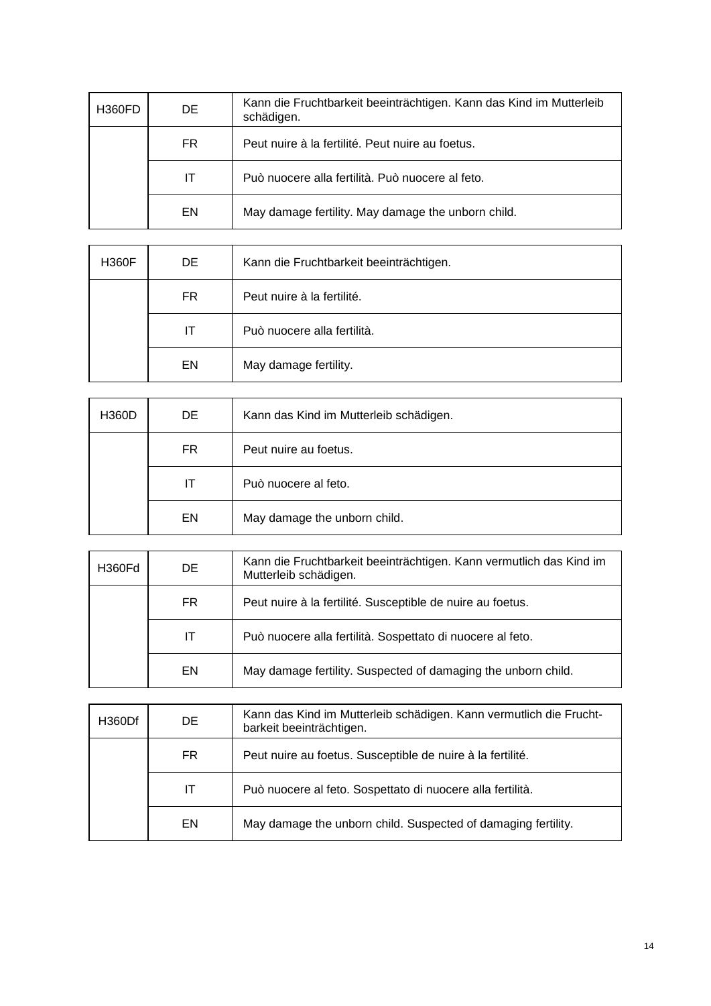| H360FD | DE. | Kann die Fruchtbarkeit beeinträchtigen. Kann das Kind im Mutterleib<br>schädigen. |
|--------|-----|-----------------------------------------------------------------------------------|
|        | FR. | Peut nuire à la fertilité. Peut nuire au foetus.                                  |
|        | IΤ  | Può nuocere alla fertilità. Può nuocere al feto.                                  |
|        | EN  | May damage fertility. May damage the unborn child.                                |

| <b>H360F</b> | DE | Kann die Fruchtbarkeit beeinträchtigen. |
|--------------|----|-----------------------------------------|
|              | FR | Peut nuire à la fertilité.              |
|              | IT | Può nuocere alla fertilità.             |
|              | EN | May damage fertility.                   |

| <b>H360D</b> | DE. | Kann das Kind im Mutterleib schädigen. |
|--------------|-----|----------------------------------------|
|              | FR. | Peut nuire au foetus.                  |
|              | IТ  | Può nuocere al feto.                   |
|              | EN  | May damage the unborn child.           |

| H360Fd | DE. | Kann die Fruchtbarkeit beeinträchtigen. Kann vermutlich das Kind im<br>Mutterleib schädigen. |
|--------|-----|----------------------------------------------------------------------------------------------|
|        | FR. | Peut nuire à la fertilité. Susceptible de nuire au foetus.                                   |
|        | IT. | Può nuocere alla fertilità. Sospettato di nuocere al feto.                                   |
|        | EN. | May damage fertility. Suspected of damaging the unborn child.                                |

| H360Df | DE. | Kann das Kind im Mutterleib schädigen. Kann vermutlich die Frucht-<br>barkeit beeinträchtigen. |
|--------|-----|------------------------------------------------------------------------------------------------|
|        | FR. | Peut nuire au foetus. Susceptible de nuire à la fertilité.                                     |
|        | IT  | Può nuocere al feto. Sospettato di nuocere alla fertilità.                                     |
|        | EN. | May damage the unborn child. Suspected of damaging fertility.                                  |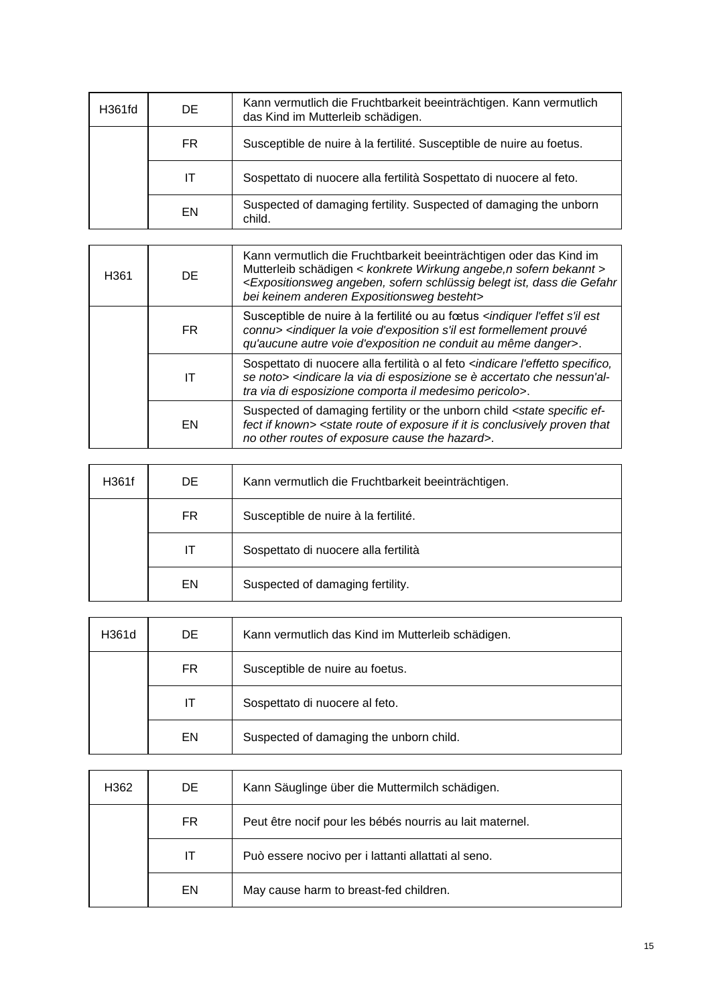| H361fd | DE. | Kann vermutlich die Fruchtbarkeit beeinträchtigen. Kann vermutlich<br>das Kind im Mutterleib schädigen. |
|--------|-----|---------------------------------------------------------------------------------------------------------|
|        | FR. | Susceptible de nuire à la fertilité. Susceptible de nuire au foetus.                                    |
|        | ΙT  | Sospettato di nuocere alla fertilità Sospettato di nuocere al feto.                                     |
|        | EN  | Suspected of damaging fertility. Suspected of damaging the unborn<br>child.                             |

| H <sub>361</sub> | DE. | Kann vermutlich die Fruchtbarkeit beeinträchtigen oder das Kind im<br>Mutterleib schädigen < konkrete Wirkung angebe, n sofern bekannt ><br><expositionsweg angeben,="" belegt="" dass="" die="" gefahr<br="" ist,="" schlüssig="" sofern="">bei keinem anderen Expositionsweg besteht&gt;</expositionsweg> |
|------------------|-----|-------------------------------------------------------------------------------------------------------------------------------------------------------------------------------------------------------------------------------------------------------------------------------------------------------------|
|                  | FR. | Susceptible de nuire à la fertilité ou au fœtus <indiquer est<br="" l'effet="" s'il="">connu&gt; <indiquer d'exposition="" est="" formellement="" la="" prouvé<br="" s'il="" voie="">qu'aucune autre voie d'exposition ne conduit au même danger&gt;.</indiquer></indiquer>                                 |
|                  | IΤ  | Sospettato di nuocere alla fertilità o al feto <indicare l'effetto="" specifico,<br="">se noto&gt; <indicare accertato="" che="" di="" esposizione="" la="" nessun'al-<br="" se="" via="" è="">tra via di esposizione comporta il medesimo pericolo&gt;.</indicare></indicare>                              |
|                  | EN  | Suspected of damaging fertility or the unborn child <state ef-<br="" specific="">fect if known&gt; <state conclusively="" exposure="" if="" is="" it="" of="" proven="" route="" that<br="">no other routes of exposure cause the hazard&gt;.</state></state>                                               |

| H361f | DE. | Kann vermutlich die Fruchtbarkeit beeinträchtigen. |
|-------|-----|----------------------------------------------------|
|       | FR. | Susceptible de nuire à la fertilité.               |
|       | IТ  | Sospettato di nuocere alla fertilità               |
|       | EN  | Suspected of damaging fertility.                   |

| H361d | DE. | Kann vermutlich das Kind im Mutterleib schädigen. |
|-------|-----|---------------------------------------------------|
|       | FR. | Susceptible de nuire au foetus.                   |
|       | IΤ  | Sospettato di nuocere al feto.                    |
|       | EN  | Suspected of damaging the unborn child.           |

| H <sub>362</sub> | DE. | Kann Säuglinge über die Muttermilch schädigen.           |
|------------------|-----|----------------------------------------------------------|
|                  | FR. | Peut être nocif pour les bébés nourris au lait maternel. |
|                  | IT  | Può essere nocivo per i lattanti allattati al seno.      |
|                  | EN  | May cause harm to breast-fed children.                   |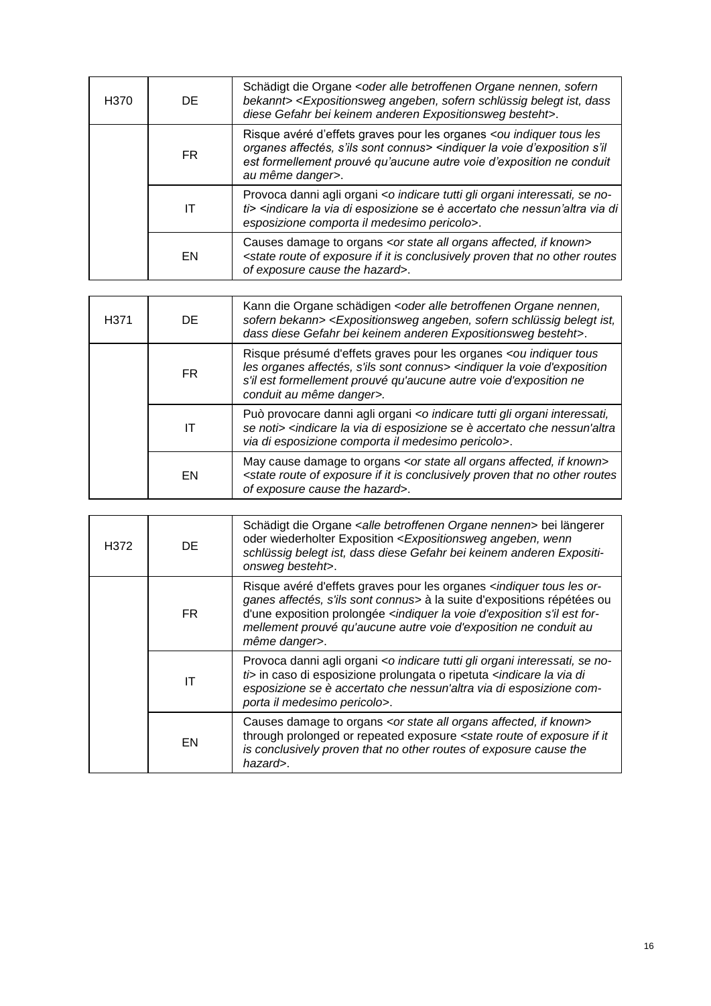| H <sub>370</sub> | DE.       | Schädigt die Organe < oder alle betroffenen Organe nennen, sofern<br>bekannt> <expositionsweg angeben,="" belegt="" dass<br="" ist,="" schlüssig="" sofern="">diese Gefahr bei keinem anderen Expositionsweg besteht&gt;.</expositionsweg>                                              |
|------------------|-----------|-----------------------------------------------------------------------------------------------------------------------------------------------------------------------------------------------------------------------------------------------------------------------------------------|
|                  | <b>FR</b> | Risque avéré d'effets graves pour les organes <ou indiquer="" les<br="" tous="">organes affectés, s'ils sont connus&gt; <indiquer d'exposition="" la="" s'il<br="" voie="">est formellement prouvé qu'aucune autre voie d'exposition ne conduit<br/>au même danger&gt;.</indiquer></ou> |
|                  | IΤ        | Provoca danni agli organi <o gli="" indicare="" interessati,="" no-<br="" organi="" se="" tutti="">ti&gt; <indicare accertato="" che="" di="" di<br="" esposizione="" la="" nessun'altra="" se="" via="" è="">esposizione comporta il medesimo pericolo&gt;.</indicare></o>             |
|                  | EN        | Causes damage to organs <or affected,="" all="" if="" known="" organs="" state=""><br/><state conclusively="" exposure="" if="" is="" it="" no="" of="" other="" proven="" route="" routes<br="" that="">of exposure cause the hazard&gt;.</state></or>                                 |

| H <sub>3</sub> 71 | DE. | Kann die Organe schädigen < oder alle betroffenen Organe nennen,<br>sofern bekann> <expositionsweg angeben,="" belegt="" ist,<br="" schlüssig="" sofern="">dass diese Gefahr bei keinem anderen Expositionsweg besteht&gt;.</expositionsweg>                                        |
|-------------------|-----|-------------------------------------------------------------------------------------------------------------------------------------------------------------------------------------------------------------------------------------------------------------------------------------|
|                   | FR. | Risque présumé d'effets graves pour les organes <ou indiquer="" tous<br="">les organes affectés, s'ils sont connus&gt; <indiquer d'exposition<br="" la="" voie="">s'il est formellement prouvé qu'aucune autre voie d'exposition ne<br/>conduit au même danger&gt;.</indiquer></ou> |
|                   | IΤ  | Può provocare danni agli organi <o gli="" indicare="" interessati,<br="" organi="" tutti="">se noti&gt; <indicare accertato="" che="" di="" esposizione="" la="" nessun'altra<br="" se="" via="" è="">via di esposizione comporta il medesimo pericolo&gt;.</indicare></o>          |
|                   | EN  | May cause damage to organs <or affected,="" all="" if="" known="" organs="" state=""><br/><state conclusively="" exposure="" if="" is="" it="" no="" of="" other="" proven="" route="" routes<br="" that="">of exposure cause the hazard&gt;.</state></or>                          |

| H372 | DE. | Schädigt die Organe <alle betroffenen="" nennen="" organe=""> bei längerer<br/>oder wiederholter Exposition <expositionsweg angeben,="" wenn<br="">schlüssig belegt ist, dass diese Gefahr bei keinem anderen Expositi-<br/>onsweg besteht&gt;.</expositionsweg></alle>                                                                                                  |
|------|-----|--------------------------------------------------------------------------------------------------------------------------------------------------------------------------------------------------------------------------------------------------------------------------------------------------------------------------------------------------------------------------|
|      | FR. | Risque avéré d'effets graves pour les organes <indiquer les="" or-<br="" tous="">ganes affectés, s'ils sont connus&gt; à la suite d'expositions répétées ou<br/>d'une exposition prolongée <indiquer d'exposition="" est="" for-<br="" la="" s'il="" voie="">mellement prouvé qu'aucune autre voie d'exposition ne conduit au<br/>même danger&gt;.</indiquer></indiquer> |
|      | IΤ  | Provoca danni agli organi <o gli="" indicare="" interessati,="" no-<br="" organi="" se="" tutti="">ti&gt; in caso di esposizione prolungata o ripetuta <indicare di<br="" la="" via="">esposizione se è accertato che nessun'altra via di esposizione com-<br/>porta il medesimo pericolo&gt;.</indicare></o>                                                            |
|      | EN  | Causes damage to organs <or affected,="" all="" if="" known="" organs="" state=""><br/>through prolonged or repeated exposure <state exposure="" if="" it<br="" of="" route="">is conclusively proven that no other routes of exposure cause the<br/>hazard&gt;.</state></or>                                                                                            |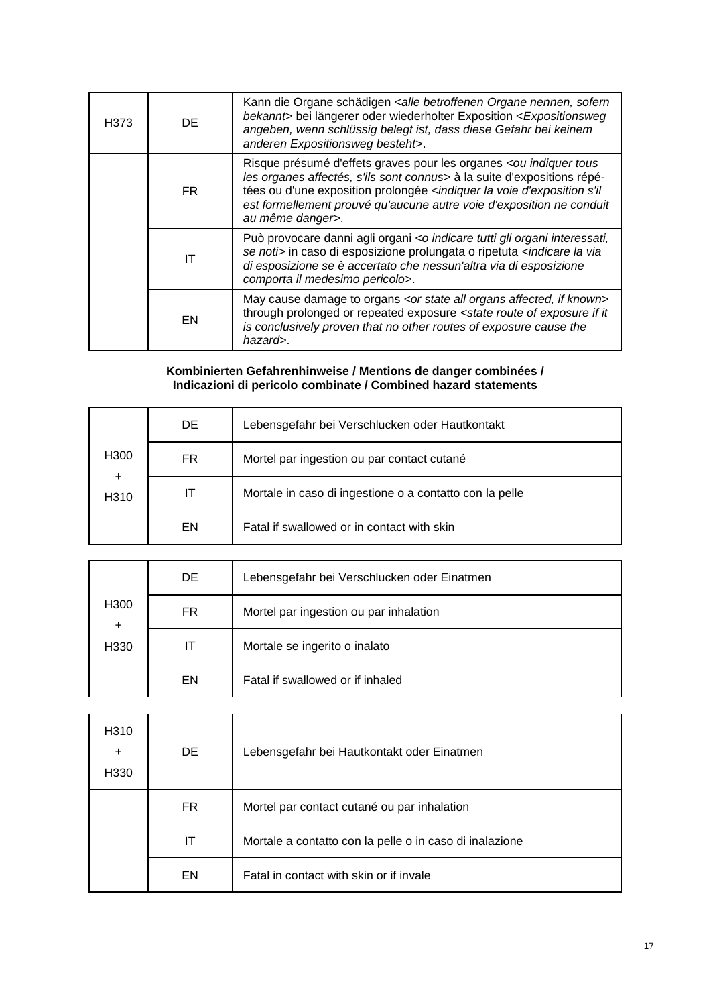| H373 | DE. | Kann die Organe schädigen <alle betroffenen="" nennen,="" organe="" sofern<br="">bekannt&gt; bei längerer oder wiederholter Exposition <expositionsweg<br>angeben, wenn schlüssig belegt ist, dass diese Gefahr bei keinem<br/>anderen Expositionsweg besteht&gt;.</expositionsweg<br></alle>                                                                |
|------|-----|--------------------------------------------------------------------------------------------------------------------------------------------------------------------------------------------------------------------------------------------------------------------------------------------------------------------------------------------------------------|
|      | FR. | Risque présumé d'effets graves pour les organes <ou indiquer="" tous<br="">les organes affectés, s'ils sont connus&gt; à la suite d'expositions répé-<br/>tées ou d'une exposition prolongée <indiquer d'exposition="" la="" s'il<br="" voie="">est formellement prouvé qu'aucune autre voie d'exposition ne conduit<br/>au même danger&gt;.</indiquer></ou> |
|      | ΙT  | Può provocare danni agli organi <o gli="" indicare="" interessati,<br="" organi="" tutti="">se noti&gt; in caso di esposizione prolungata o ripetuta <indicare la="" via<br="">di esposizione se è accertato che nessun'altra via di esposizione<br/>comporta il medesimo pericolo&gt;.</indicare></o>                                                       |
|      | EN  | May cause damage to organs <or affected,="" all="" if="" known="" organs="" state=""><br/>through prolonged or repeated exposure <state exposure="" if="" it<br="" of="" route="">is conclusively proven that no other routes of exposure cause the<br/>hazard&gt;.</state></or>                                                                             |

#### **Kombinierten Gefahrenhinweise / Mentions de danger combinées / Indicazioni di pericolo combinate / Combined hazard statements**

|                               | DE. | Lebensgefahr bei Verschlucken oder Hautkontakt          |
|-------------------------------|-----|---------------------------------------------------------|
| H <sub>300</sub>              | FR. | Mortel par ingestion ou par contact cutané              |
| $\ddot{}$<br>H <sub>310</sub> | IΤ  | Mortale in caso di ingestione o a contatto con la pelle |
|                               | EN  | Fatal if swallowed or in contact with skin              |

|                               | DE | Lebensgefahr bei Verschlucken oder Einatmen |
|-------------------------------|----|---------------------------------------------|
| H <sub>300</sub><br>$\ddot{}$ | FR | Mortel par ingestion ou par inhalation      |
| H330                          | IΤ | Mortale se ingerito o inalato               |
|                               | EN | Fatal if swallowed or if inhaled            |

| H310<br>$\ddot{}$<br>H330 | <b>DE</b> | Lebensgefahr bei Hautkontakt oder Einatmen              |
|---------------------------|-----------|---------------------------------------------------------|
|                           | FR.       | Mortel par contact cutané ou par inhalation             |
|                           | IΤ        | Mortale a contatto con la pelle o in caso di inalazione |
|                           | EN        | Fatal in contact with skin or if invale                 |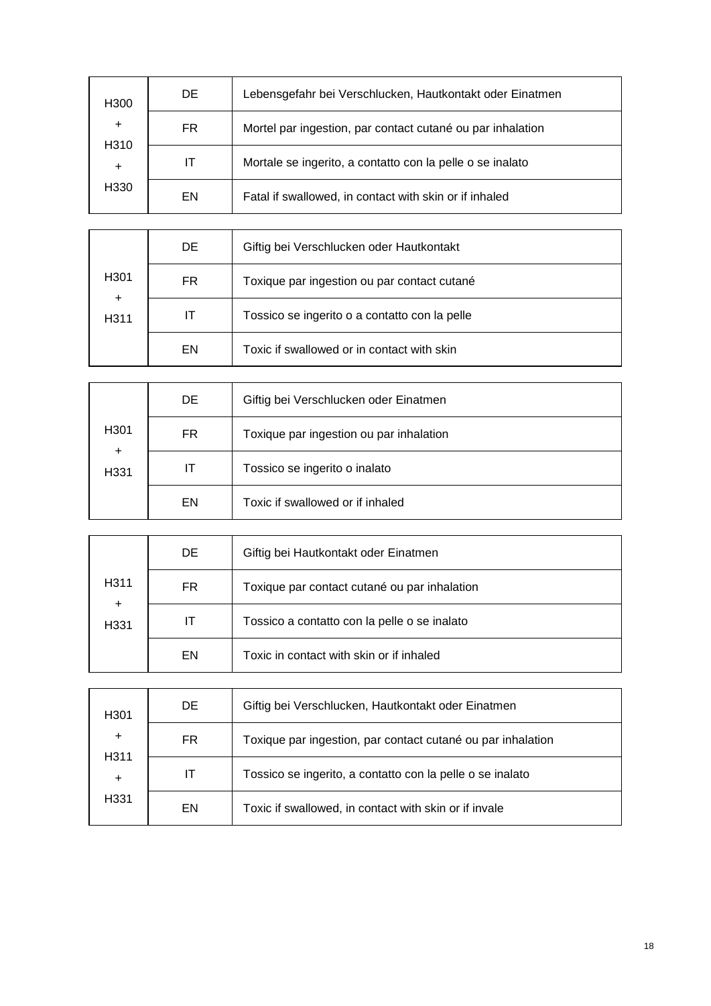| H <sub>300</sub>                                   | DE. | Lebensgefahr bei Verschlucken, Hautkontakt oder Einatmen   |
|----------------------------------------------------|-----|------------------------------------------------------------|
| $\ddot{}$<br>H310<br>$\ddot{}$<br>H <sub>330</sub> | FR. | Mortel par ingestion, par contact cutané ou par inhalation |
|                                                    | IТ  | Mortale se ingerito, a contatto con la pelle o se inalato  |
|                                                    | EN  | Fatal if swallowed, in contact with skin or if inhaled     |

|                               | DE  | Giftig bei Verschlucken oder Hautkontakt      |
|-------------------------------|-----|-----------------------------------------------|
| H <sub>301</sub>              | FR. | Toxique par ingestion ou par contact cutané   |
| $\ddot{}$<br>H <sub>311</sub> | IΤ  | Tossico se ingerito o a contatto con la pelle |
|                               | EN  | Toxic if swallowed or in contact with skin    |

|                   | DE  | Giftig bei Verschlucken oder Einatmen   |
|-------------------|-----|-----------------------------------------|
| H <sub>301</sub>  | FR. | Toxique par ingestion ou par inhalation |
| $\ddot{}$<br>H331 | ΙT  | Tossico se ingerito o inalato           |
|                   | EN  | Toxic if swallowed or if inhaled        |

|                   | DE  | Giftig bei Hautkontakt oder Einatmen         |
|-------------------|-----|----------------------------------------------|
| H311              | FR. | Toxique par contact cutané ou par inhalation |
| $\ddot{}$<br>H331 | IT  | Tossico a contatto con la pelle o se inalato |
|                   | EN  | Toxic in contact with skin or if inhaled     |

| H <sub>301</sub>       | DE. | Giftig bei Verschlucken, Hautkontakt oder Einatmen          |
|------------------------|-----|-------------------------------------------------------------|
| $\ddot{}$              | FR  | Toxique par ingestion, par contact cutané ou par inhalation |
| H <sub>3</sub> 11<br>÷ | П   | Tossico se ingerito, a contatto con la pelle o se inalato   |
| H331                   | EN  | Toxic if swallowed, in contact with skin or if invale       |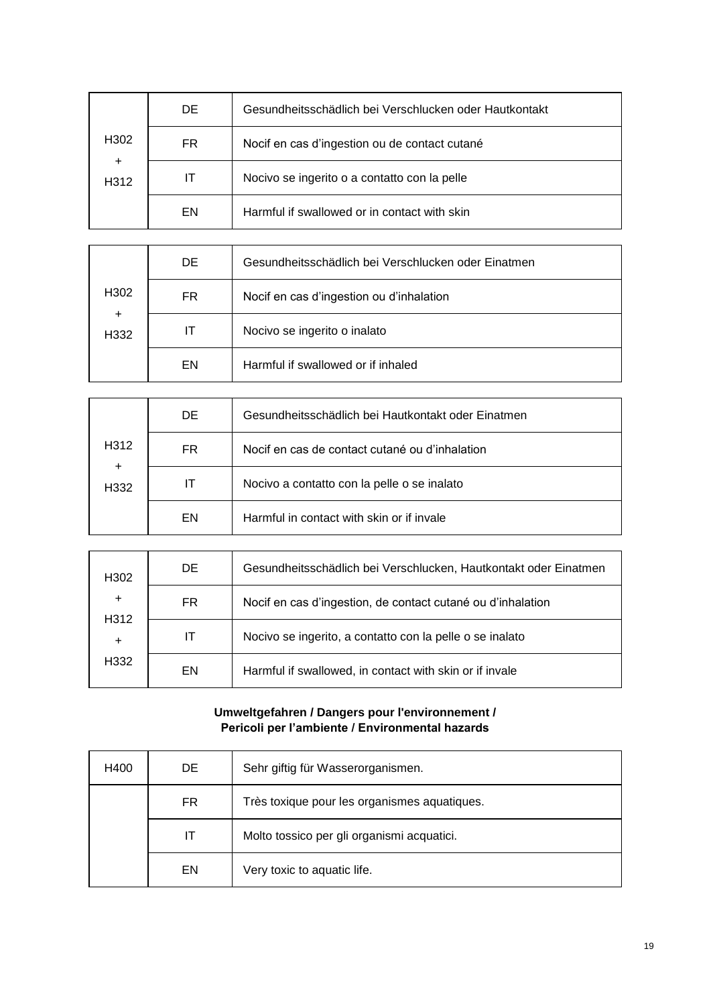|                               | DE. | Gesundheitsschädlich bei Verschlucken oder Hautkontakt |
|-------------------------------|-----|--------------------------------------------------------|
| H <sub>302</sub>              | FR. | Nocif en cas d'ingestion ou de contact cutané          |
| $\ddot{}$<br>H <sub>312</sub> | IТ  | Nocivo se ingerito o a contatto con la pelle           |
|                               | EN  | Harmful if swallowed or in contact with skin           |

|                   | DE.       | Gesundheitsschädlich bei Verschlucken oder Einatmen |
|-------------------|-----------|-----------------------------------------------------|
| H <sub>302</sub>  | <b>FR</b> | Nocif en cas d'ingestion ou d'inhalation            |
| $\ddot{}$<br>H332 | IT        | Nocivo se ingerito o inalato                        |
|                   | EN        | Harmful if swallowed or if inhaled                  |

|                               | DE. | Gesundheitsschädlich bei Hautkontakt oder Einatmen |
|-------------------------------|-----|----------------------------------------------------|
| H <sub>312</sub>              | FR. | Nocif en cas de contact cutané ou d'inhalation     |
| $\ddot{}$<br>H <sub>332</sub> | IТ  | Nocivo a contatto con la pelle o se inalato        |
|                               | EN  | Harmful in contact with skin or if invale          |

| H <sub>302</sub>                           | DE. | Gesundheitsschädlich bei Verschlucken, Hautkontakt oder Einatmen |
|--------------------------------------------|-----|------------------------------------------------------------------|
| $\ddot{}$<br>H312<br>÷<br>H <sub>332</sub> | FR. | Nocif en cas d'ingestion, de contact cutané ou d'inhalation      |
|                                            | IТ  | Nocivo se ingerito, a contatto con la pelle o se inalato         |
|                                            | EN  | Harmful if swallowed, in contact with skin or if invale          |

#### **Umweltgefahren / Dangers pour l'environnement / Pericoli per l'ambiente / Environmental hazards**

| H400 | DE. | Sehr giftig für Wasserorganismen.            |
|------|-----|----------------------------------------------|
|      | FR  | Très toxique pour les organismes aquatiques. |
|      | IТ  | Molto tossico per gli organismi acquatici.   |
|      | EN  | Very toxic to aquatic life.                  |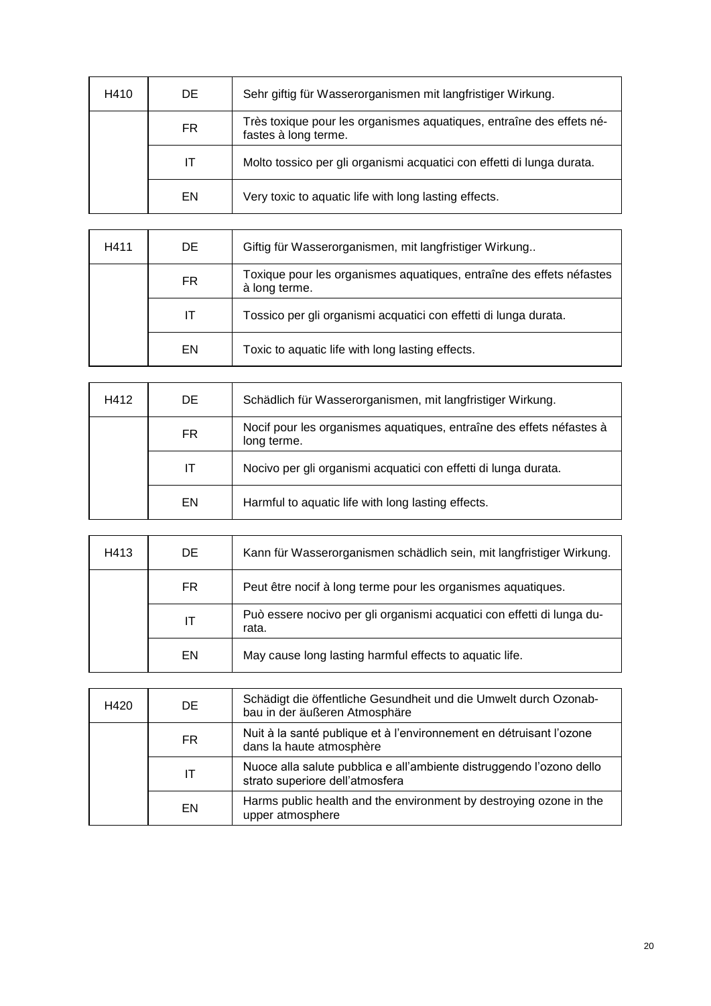| H410 | DE. | Sehr giftig für Wasserorganismen mit langfristiger Wirkung.                                  |
|------|-----|----------------------------------------------------------------------------------------------|
|      | FR. | Très toxique pour les organismes aquatiques, entraîne des effets né-<br>fastes à long terme. |
|      | ΙT  | Molto tossico per gli organismi acquatici con effetti di lunga durata.                       |
|      | EN  | Very toxic to aquatic life with long lasting effects.                                        |

| H411 | DE. | Giftig für Wasserorganismen, mit langfristiger Wirkung                                |
|------|-----|---------------------------------------------------------------------------------------|
|      | FR. | Toxique pour les organismes aquatiques, entraîne des effets néfastes<br>à long terme. |
|      | ΙT  | Tossico per gli organismi acquatici con effetti di lunga durata.                      |
|      | EN  | Toxic to aquatic life with long lasting effects.                                      |

| H412 | DE. | Schädlich für Wasserorganismen, mit langfristiger Wirkung.                          |
|------|-----|-------------------------------------------------------------------------------------|
|      | FR. | Nocif pour les organismes aquatiques, entraîne des effets néfastes à<br>long terme. |
|      | ΙT  | Nocivo per gli organismi acquatici con effetti di lunga durata.                     |
|      | EN. | Harmful to aquatic life with long lasting effects.                                  |

| H413 | DE. | Kann für Wasserorganismen schädlich sein, mit langfristiger Wirkung.            |
|------|-----|---------------------------------------------------------------------------------|
|      | FR. | Peut être nocif à long terme pour les organismes aquatiques.                    |
|      | IΤ  | Può essere nocivo per gli organismi acquatici con effetti di lunga du-<br>rata. |
|      | EN. | May cause long lasting harmful effects to aquatic life.                         |

| H420 | DE  | Schädigt die öffentliche Gesundheit und die Umwelt durch Ozonab-<br>bau in der äußeren Atmosphäre       |
|------|-----|---------------------------------------------------------------------------------------------------------|
|      | FR. | Nuit à la santé publique et à l'environnement en détruisant l'ozone<br>dans la haute atmosphère         |
|      | ΙT  | Nuoce alla salute pubblica e all'ambiente distruggendo l'ozono dello<br>strato superiore dell'atmosfera |
|      | EN  | Harms public health and the environment by destroying ozone in the<br>upper atmosphere                  |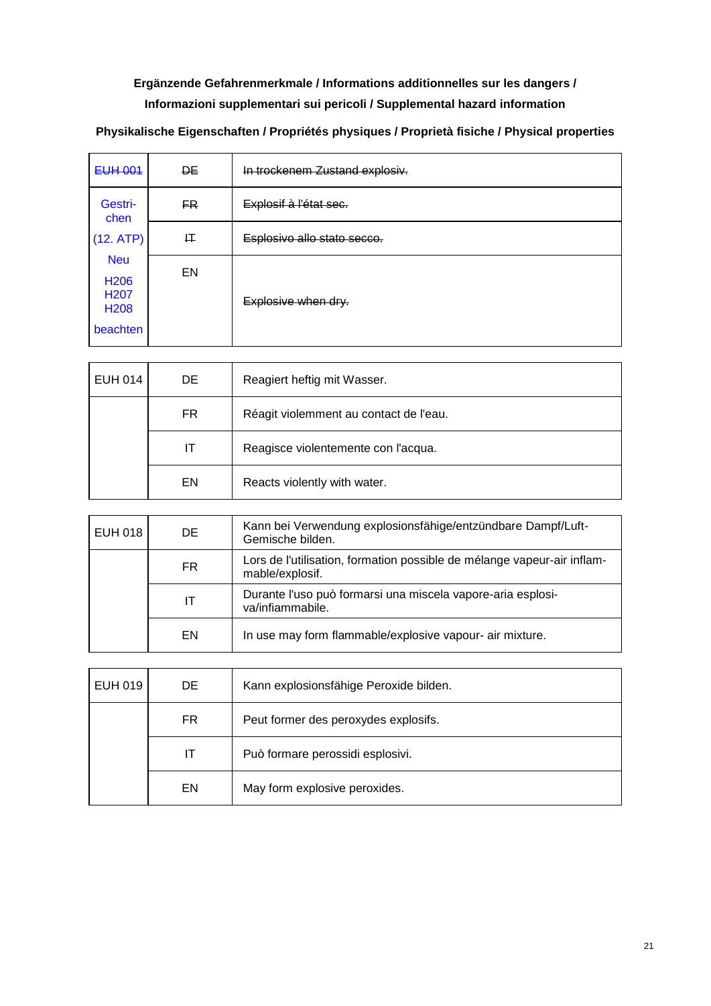## **Ergänzende Gefahrenmerkmale / Informations additionnelles sur les dangers / Informazioni supplementari sui pericoli / Supplemental hazard information**

| <b>EUH 001</b>                                                                      | <b>DE</b> | In trockenem Zustand explosiv. |
|-------------------------------------------------------------------------------------|-----------|--------------------------------|
| Gestri-<br>chen                                                                     | FR.       | Explosif à l'état sec.         |
| (12. ATP)                                                                           | 圧         | Esplosivo allo stato secco.    |
| <b>Neu</b><br>H <sub>206</sub><br>H <sub>20</sub> 7<br>H <sub>208</sub><br>beachten | EN        | Explosive when dry.            |

**Physikalische Eigenschaften / Propriétés physiques / Proprietà fisiche / Physical properties**

| <b>EUH 014</b> | DE        | Reagiert heftig mit Wasser.            |
|----------------|-----------|----------------------------------------|
|                | <b>FR</b> | Réagit violemment au contact de l'eau. |
|                | ΙT        | Reagisce violentemente con l'acqua.    |
|                | EN        | Reacts violently with water.           |

| EUH 018 | DE. | Kann bei Verwendung explosionsfähige/entzündbare Dampf/Luft-<br>Gemische bilden.           |
|---------|-----|--------------------------------------------------------------------------------------------|
|         | FR. | Lors de l'utilisation, formation possible de mélange vapeur-air inflam-<br>mable/explosif. |
|         | ΙT  | Durante l'uso può formarsi una miscela vapore-aria esplosi-<br>va/infiammabile.            |
|         | EN. | In use may form flammable/explosive vapour- air mixture.                                   |

| EUH 019 | DE. | Kann explosionsfähige Peroxide bilden. |
|---------|-----|----------------------------------------|
|         | FR. | Peut former des peroxydes explosifs.   |
|         | IT  | Può formare perossidi esplosivi.       |
|         | EN  | May form explosive peroxides.          |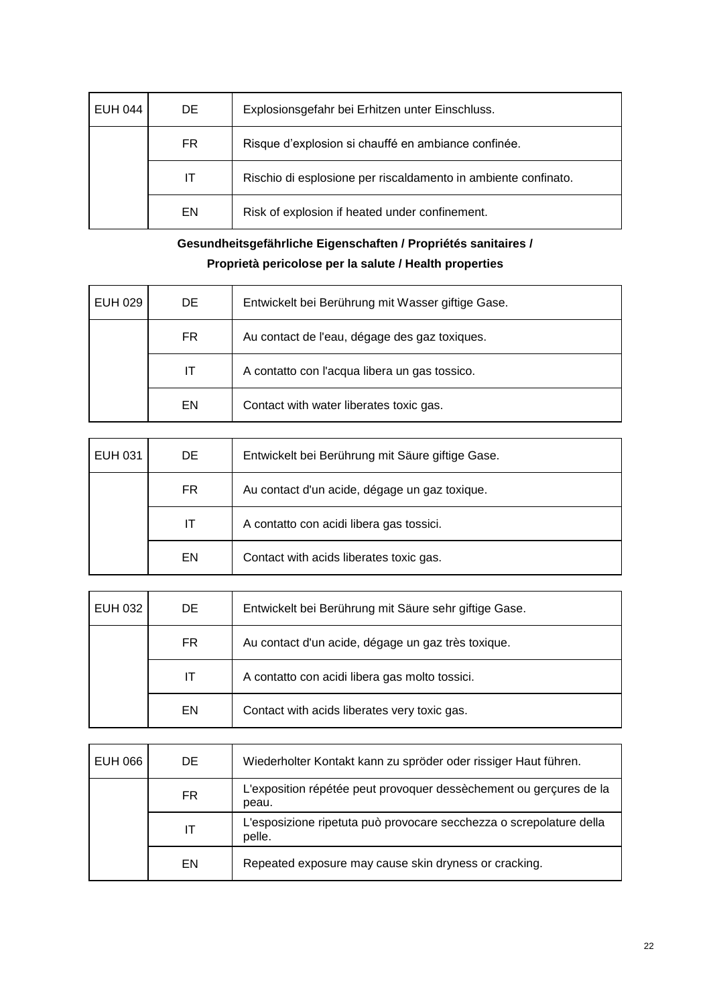| <b>EUH 044</b> | DE. | Explosionsgefahr bei Erhitzen unter Einschluss.                |
|----------------|-----|----------------------------------------------------------------|
|                | FR. | Risque d'explosion si chauffé en ambiance confinée.            |
|                | IТ  | Rischio di esplosione per riscaldamento in ambiente confinato. |
|                | EN  | Risk of explosion if heated under confinement.                 |

## **Gesundheitsgefährliche Eigenschaften / Propriétés sanitaires / Proprietà pericolose per la salute / Health properties**

| EUH 029 | DE  | Entwickelt bei Berührung mit Wasser giftige Gase. |
|---------|-----|---------------------------------------------------|
|         | FR. | Au contact de l'eau, dégage des gaz toxiques.     |
|         | IТ  | A contatto con l'acqua libera un gas tossico.     |
|         | EN  | Contact with water liberates toxic gas.           |

| EUH 031 | DE. | Entwickelt bei Berührung mit Säure giftige Gase. |
|---------|-----|--------------------------------------------------|
|         | FR. | Au contact d'un acide, dégage un gaz toxique.    |
|         | IT  | A contatto con acidi libera gas tossici.         |
|         | EN  | Contact with acids liberates toxic gas.          |

| EUH 032 | DE. | Entwickelt bei Berührung mit Säure sehr giftige Gase. |
|---------|-----|-------------------------------------------------------|
|         | FR. | Au contact d'un acide, dégage un gaz très toxique.    |
|         | IТ  | A contatto con acidi libera gas molto tossici.        |
|         | EN  | Contact with acids liberates very toxic gas.          |

| EUH 066 | DE. | Wiederholter Kontakt kann zu spröder oder rissiger Haut führen.               |
|---------|-----|-------------------------------------------------------------------------------|
|         | FR. | L'exposition répétée peut provoquer dessèchement ou gerçures de la<br>peau.   |
|         | ΙT  | L'esposizione ripetuta può provocare secchezza o screpolature della<br>pelle. |
|         | EN  | Repeated exposure may cause skin dryness or cracking.                         |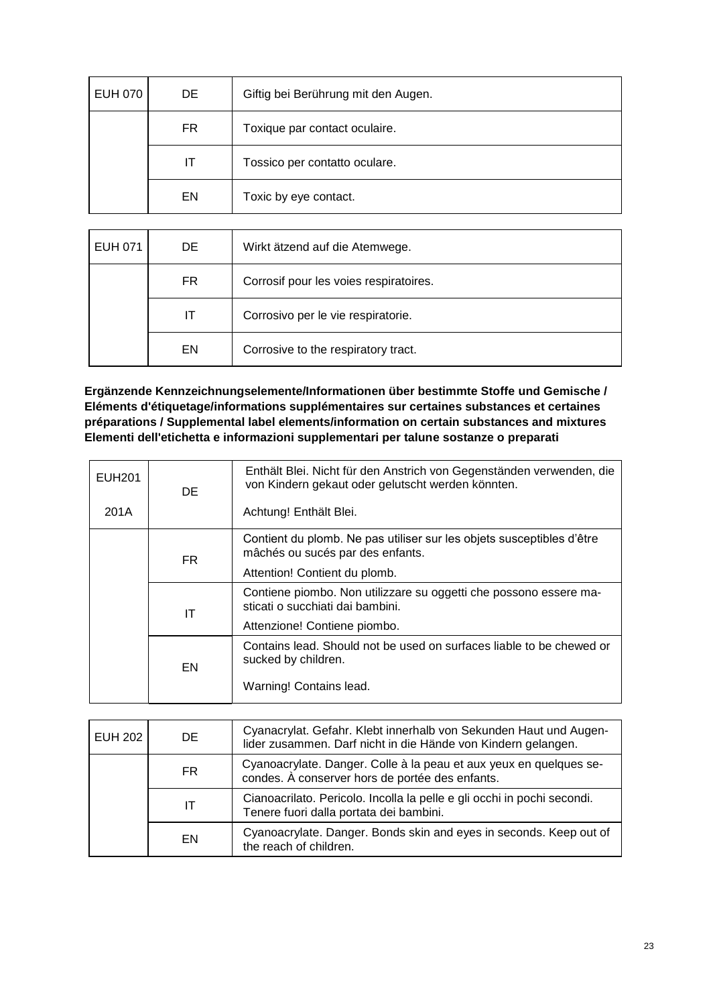| <b>EUH 070</b> | DE | Giftig bei Berührung mit den Augen. |
|----------------|----|-------------------------------------|
|                | FR | Toxique par contact oculaire.       |
|                | IT | Tossico per contatto oculare.       |
|                | EN | Toxic by eye contact.               |

| EUH 071 | DE. | Wirkt ätzend auf die Atemwege.         |
|---------|-----|----------------------------------------|
|         | FR  | Corrosif pour les voies respiratoires. |
|         | IT  | Corrosivo per le vie respiratorie.     |
|         | EN  | Corrosive to the respiratory tract.    |

**Ergänzende Kennzeichnungselemente/Informationen über bestimmte Stoffe und Gemische / Eléments d'étiquetage/informations supplémentaires sur certaines substances et certaines préparations / Supplemental label elements/information on certain substances and mixtures Elementi dell'etichetta e informazioni supplementari per talune sostanze o preparati**

| EUH201 | DE.             | Enthält Blei. Nicht für den Anstrich von Gegenständen verwenden, die<br>von Kindern gekaut oder gelutscht werden könnten. |
|--------|-----------------|---------------------------------------------------------------------------------------------------------------------------|
| 201A   |                 | Achtung! Enthält Blei.                                                                                                    |
|        | FR.<br>ΙT<br>EN | Contient du plomb. Ne pas utiliser sur les objets susceptibles d'être<br>mâchés ou sucés par des enfants.                 |
|        |                 | Attention! Contient du plomb.                                                                                             |
|        |                 | Contiene piombo. Non utilizzare su oggetti che possono essere ma-<br>sticati o succhiati dai bambini.                     |
|        |                 | Attenzione! Contiene piombo.                                                                                              |
|        |                 | Contains lead. Should not be used on surfaces liable to be chewed or<br>sucked by children.                               |
|        |                 | Warning! Contains lead.                                                                                                   |

| <b>EUH 202</b> | DE  | Cyanacrylat. Gefahr. Klebt innerhalb von Sekunden Haut und Augen-<br>lider zusammen. Darf nicht in die Hände von Kindern gelangen. |
|----------------|-----|------------------------------------------------------------------------------------------------------------------------------------|
|                | FR. | Cyanoacrylate. Danger. Colle à la peau et aux yeux en quelques se-<br>condes. À conserver hors de portée des enfants.              |
|                | ΙT  | Cianoacrilato. Pericolo. Incolla la pelle e gli occhi in pochi secondi.<br>Tenere fuori dalla portata dei bambini.                 |
|                | EN  | Cyanoacrylate. Danger. Bonds skin and eyes in seconds. Keep out of<br>the reach of children.                                       |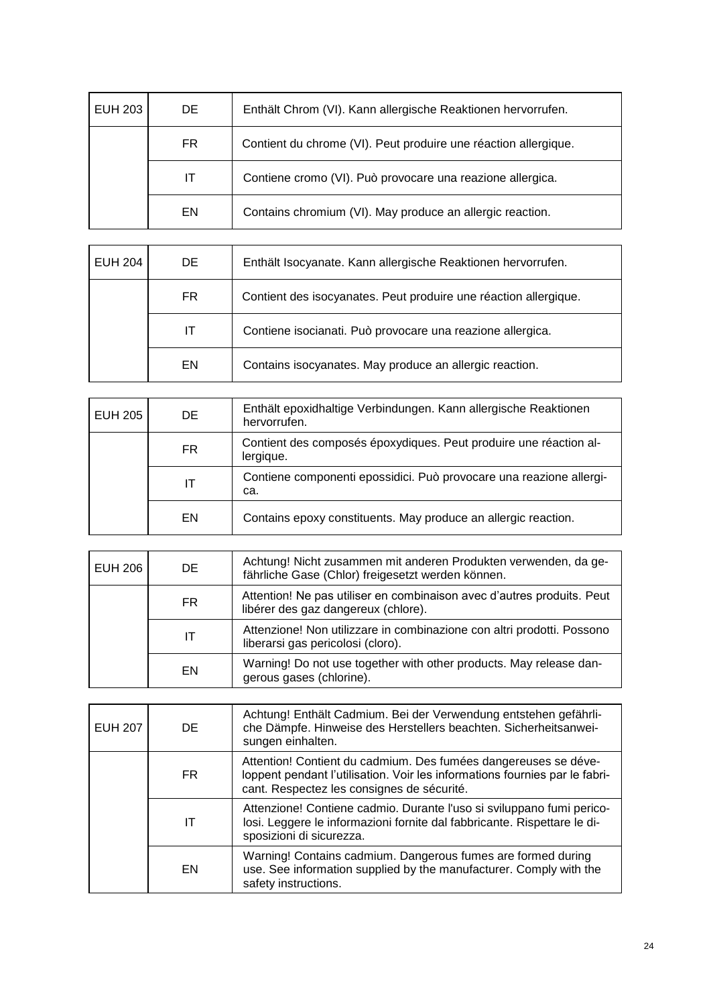| EUH 203 | DE. | Enthält Chrom (VI). Kann allergische Reaktionen hervorrufen.    |
|---------|-----|-----------------------------------------------------------------|
|         | FR. | Contient du chrome (VI). Peut produire une réaction allergique. |
|         | IT. | Contiene cromo (VI). Può provocare una reazione allergica.      |
|         | EN  | Contains chromium (VI). May produce an allergic reaction.       |

| EUH 204 | DE. | Enthält Isocyanate. Kann allergische Reaktionen hervorrufen.     |
|---------|-----|------------------------------------------------------------------|
|         | FR. | Contient des isocyanates. Peut produire une réaction allergique. |
|         | IT  | Contiene isocianati. Può provocare una reazione allergica.       |
|         | EN  | Contains isocyanates. May produce an allergic reaction.          |

| <b>EUH 205</b> | DE  | Enthält epoxidhaltige Verbindungen. Kann allergische Reaktionen<br>hervorrufen. |
|----------------|-----|---------------------------------------------------------------------------------|
|                | FR. | Contient des composés époxydiques. Peut produire une réaction al-<br>lergique.  |
|                | ΙT  | Contiene componenti epossidici. Può provocare una reazione allergi-<br>ca.      |
|                | EN  | Contains epoxy constituents. May produce an allergic reaction.                  |

| <b>EUH 206</b> | DE. | Achtung! Nicht zusammen mit anderen Produkten verwenden, da ge-<br>fährliche Gase (Chlor) freigesetzt werden können. |
|----------------|-----|----------------------------------------------------------------------------------------------------------------------|
|                | FR. | Attention! Ne pas utiliser en combinaison avec d'autres produits. Peut<br>libérer des gaz dangereux (chlore).        |
|                | ΙT  | Attenzione! Non utilizzare in combinazione con altri prodotti. Possono<br>liberarsi gas pericolosi (cloro).          |
|                | EN  | Warning! Do not use together with other products. May release dan-<br>gerous gases (chlorine).                       |

| <b>EUH 207</b> | DE. | Achtung! Enthält Cadmium. Bei der Verwendung entstehen gefährli-<br>che Dämpfe. Hinweise des Herstellers beachten. Sicherheitsanwei-<br>sungen einhalten.                                    |
|----------------|-----|----------------------------------------------------------------------------------------------------------------------------------------------------------------------------------------------|
|                | FR. | Attention! Contient du cadmium. Des fumées dangereuses se déve-<br>loppent pendant l'utilisation. Voir les informations fournies par le fabri-<br>cant. Respectez les consignes de sécurité. |
|                | IT  | Attenzione! Contiene cadmio. Durante l'uso si sviluppano fumi perico-<br>losi. Leggere le informazioni fornite dal fabbricante. Rispettare le di-<br>sposizioni di sicurezza.                |
|                | EN  | Warning! Contains cadmium. Dangerous fumes are formed during<br>use. See information supplied by the manufacturer. Comply with the<br>safety instructions.                                   |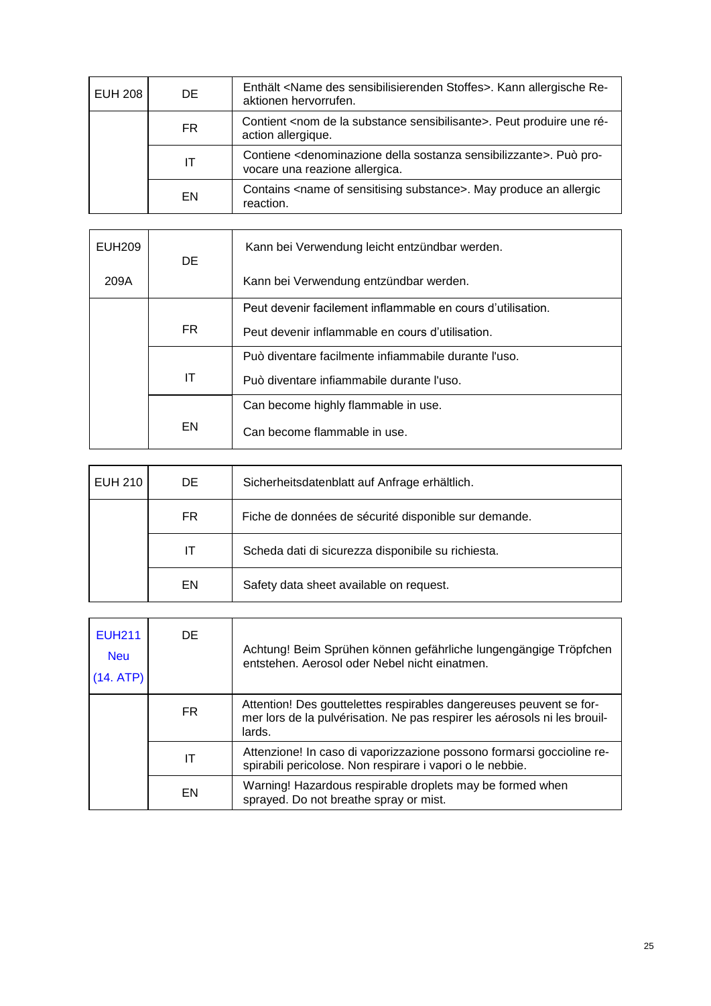| <b>EUH 208</b> | DE. | Enthält <name des="" sensibilisierenden="" stoffes="">. Kann allergische Re-<br/>aktionen hervorrufen.</name>                 |
|----------------|-----|-------------------------------------------------------------------------------------------------------------------------------|
|                | FR. | Contient <nom de="" la="" sensibilisante="" substance="">. Peut produire une ré-<br/>action allergique.</nom>                 |
|                | ΙT  | Contiene <denominazione della="" sensibilizzante="" sostanza="">. Può pro-<br/>vocare una reazione allergica.</denominazione> |
|                | EN  | Contains <name of="" sensitising="" substance="">. May produce an allergic<br/>reaction.</name>                               |

| EUH209 | DE.              | Kann bei Verwendung leicht entzündbar werden.               |
|--------|------------------|-------------------------------------------------------------|
| 209A   |                  | Kann bei Verwendung entzündbar werden.                      |
|        |                  | Peut devenir facilement inflammable en cours d'utilisation. |
|        | FR.<br>ΙT<br>EN. | Peut devenir inflammable en cours d'utilisation.            |
|        |                  | Può diventare facilmente infiammabile durante l'uso.        |
|        |                  | Può diventare infiammabile durante l'uso.                   |
|        |                  | Can become highly flammable in use.                         |
|        |                  | Can become flammable in use.                                |

| <b>EUH 210</b> | DE. | Sicherheitsdatenblatt auf Anfrage erhältlich.        |
|----------------|-----|------------------------------------------------------|
|                | FR. | Fiche de données de sécurité disponible sur demande. |
|                | IΤ  | Scheda dati di sicurezza disponibile su richiesta.   |
|                | EN  | Safety data sheet available on request.              |

| <b>EUH211</b><br><b>Neu</b><br>(14. ATP) | DE. | Achtung! Beim Sprühen können gefährliche lungengängige Tröpfchen<br>entstehen. Aerosol oder Nebel nicht einatmen.                                          |
|------------------------------------------|-----|------------------------------------------------------------------------------------------------------------------------------------------------------------|
|                                          | FR. | Attention! Des gouttelettes respirables dangereuses peuvent se for-<br>mer lors de la pulvérisation. Ne pas respirer les aérosols ni les brouil-<br>lards. |
|                                          | IΤ  | Attenzione! In caso di vaporizzazione possono formarsi goccioline re-<br>spirabili pericolose. Non respirare i vapori o le nebbie.                         |
|                                          | EN  | Warning! Hazardous respirable droplets may be formed when<br>sprayed. Do not breathe spray or mist.                                                        |